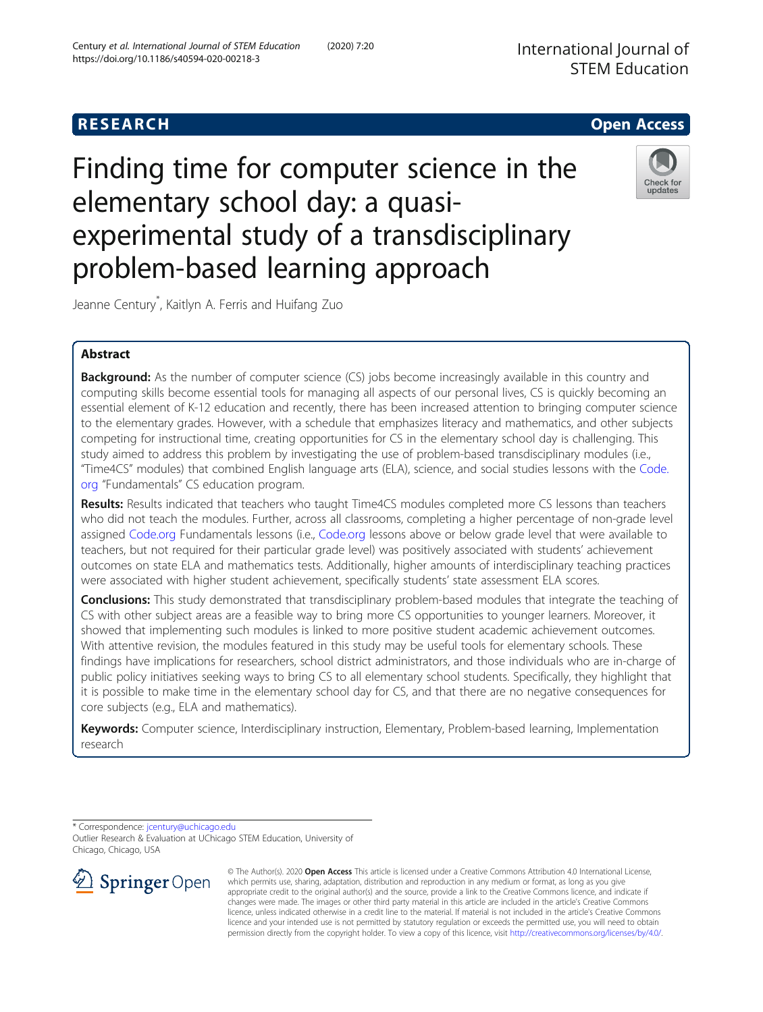# **RESEARCH CHE Open Access**

Finding time for computer science in the elementary school day: a quasiexperimental study of a transdisciplinary problem-based learning approach



Jeanne Century\* , Kaitlyn A. Ferris and Huifang Zuo

## Abstract

**Background:** As the number of computer science (CS) jobs become increasingly available in this country and computing skills become essential tools for managing all aspects of our personal lives, CS is quickly becoming an essential element of K-12 education and recently, there has been increased attention to bringing computer science to the elementary grades. However, with a schedule that emphasizes literacy and mathematics, and other subjects competing for instructional time, creating opportunities for CS in the elementary school day is challenging. This study aimed to address this problem by investigating the use of problem-based transdisciplinary modules (i.e., "Time4CS" modules) that combined English language arts (ELA), science, and social studies lessons with the [Code.](http://code.org) [org](http://code.org) "Fundamentals" CS education program.

Results: Results indicated that teachers who taught Time4CS modules completed more CS lessons than teachers who did not teach the modules. Further, across all classrooms, completing a higher percentage of non-grade level assigned [Code.org](http://code.org) Fundamentals lessons (i.e., [Code.org](http://code.org) lessons above or below grade level that were available to teachers, but not required for their particular grade level) was positively associated with students' achievement outcomes on state ELA and mathematics tests. Additionally, higher amounts of interdisciplinary teaching practices were associated with higher student achievement, specifically students' state assessment ELA scores.

Conclusions: This study demonstrated that transdisciplinary problem-based modules that integrate the teaching of CS with other subject areas are a feasible way to bring more CS opportunities to younger learners. Moreover, it showed that implementing such modules is linked to more positive student academic achievement outcomes. With attentive revision, the modules featured in this study may be useful tools for elementary schools. These findings have implications for researchers, school district administrators, and those individuals who are in-charge of public policy initiatives seeking ways to bring CS to all elementary school students. Specifically, they highlight that it is possible to make time in the elementary school day for CS, and that there are no negative consequences for core subjects (e.g., ELA and mathematics).

Keywords: Computer science, Interdisciplinary instruction, Elementary, Problem-based learning, Implementation research

Outlier Research & Evaluation at UChicago STEM Education, University of Chicago, Chicago, USA



© The Author(s). 2020 Open Access This article is licensed under a Creative Commons Attribution 4.0 International License, which permits use, sharing, adaptation, distribution and reproduction in any medium or format, as long as you give appropriate credit to the original author(s) and the source, provide a link to the Creative Commons licence, and indicate if changes were made. The images or other third party material in this article are included in the article's Creative Commons licence, unless indicated otherwise in a credit line to the material. If material is not included in the article's Creative Commons licence and your intended use is not permitted by statutory regulation or exceeds the permitted use, you will need to obtain permission directly from the copyright holder. To view a copy of this licence, visit <http://creativecommons.org/licenses/by/4.0/>.

<sup>\*</sup> Correspondence: [jcentury@uchicago.edu](mailto:jcentury@uchicago.edu)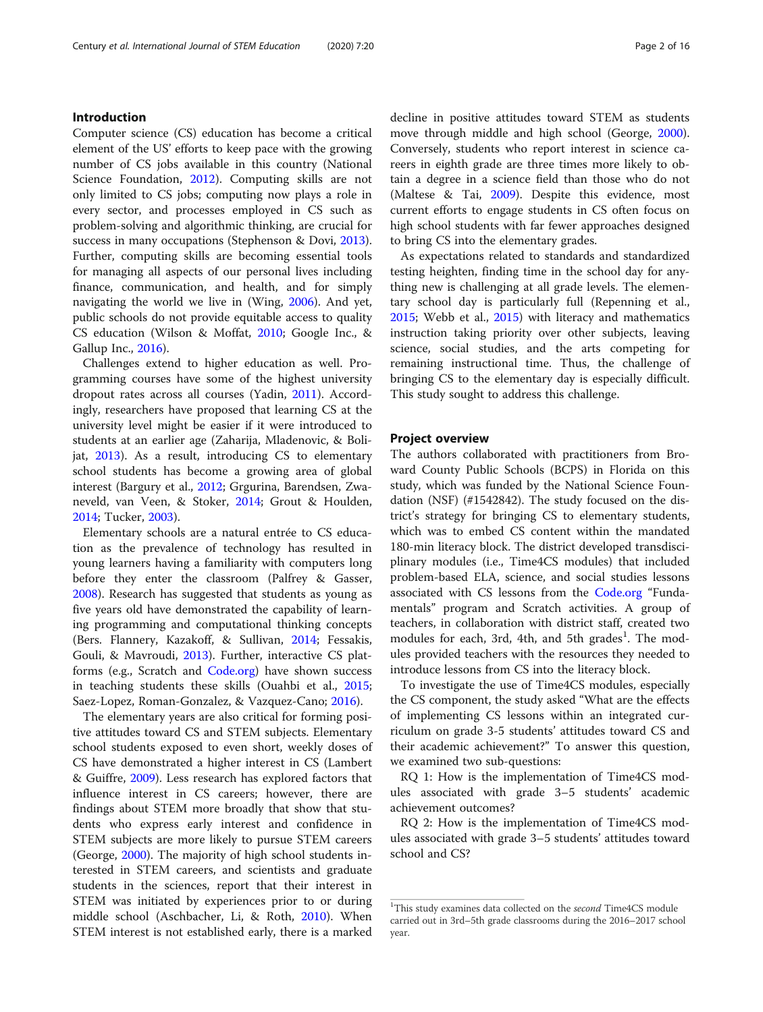## Introduction

Computer science (CS) education has become a critical element of the US' efforts to keep pace with the growing number of CS jobs available in this country (National Science Foundation, [2012](#page-14-0)). Computing skills are not only limited to CS jobs; computing now plays a role in every sector, and processes employed in CS such as problem-solving and algorithmic thinking, are crucial for success in many occupations (Stephenson & Dovi, [2013](#page-14-0)). Further, computing skills are becoming essential tools for managing all aspects of our personal lives including finance, communication, and health, and for simply navigating the world we live in (Wing, [2006](#page-15-0)). And yet, public schools do not provide equitable access to quality CS education (Wilson & Moffat, [2010;](#page-15-0) Google Inc., & Gallup Inc., [2016\)](#page-14-0).

Challenges extend to higher education as well. Programming courses have some of the highest university dropout rates across all courses (Yadin, [2011\)](#page-15-0). Accordingly, researchers have proposed that learning CS at the university level might be easier if it were introduced to students at an earlier age (Zaharija, Mladenovic, & Bolijat, [2013\)](#page-15-0). As a result, introducing CS to elementary school students has become a growing area of global interest (Bargury et al., [2012;](#page-14-0) Grgurina, Barendsen, Zwaneveld, van Veen, & Stoker, [2014;](#page-14-0) Grout & Houlden, [2014](#page-14-0); Tucker, [2003](#page-14-0)).

Elementary schools are a natural entrée to CS education as the prevalence of technology has resulted in young learners having a familiarity with computers long before they enter the classroom (Palfrey & Gasser, [2008](#page-14-0)). Research has suggested that students as young as five years old have demonstrated the capability of learning programming and computational thinking concepts (Bers. Flannery, Kazakoff, & Sullivan, [2014](#page-14-0); Fessakis, Gouli, & Mavroudi, [2013\)](#page-14-0). Further, interactive CS platforms (e.g., Scratch and [Code.org](http://code.org)) have shown success in teaching students these skills (Ouahbi et al., [2015](#page-14-0); Saez-Lopez, Roman-Gonzalez, & Vazquez-Cano; [2016](#page-14-0)).

The elementary years are also critical for forming positive attitudes toward CS and STEM subjects. Elementary school students exposed to even short, weekly doses of CS have demonstrated a higher interest in CS (Lambert & Guiffre, [2009](#page-14-0)). Less research has explored factors that influence interest in CS careers; however, there are findings about STEM more broadly that show that students who express early interest and confidence in STEM subjects are more likely to pursue STEM careers (George, [2000](#page-14-0)). The majority of high school students interested in STEM careers, and scientists and graduate students in the sciences, report that their interest in STEM was initiated by experiences prior to or during middle school (Aschbacher, Li, & Roth, [2010\)](#page-13-0). When STEM interest is not established early, there is a marked decline in positive attitudes toward STEM as students move through middle and high school (George, [2000](#page-14-0)). Conversely, students who report interest in science careers in eighth grade are three times more likely to obtain a degree in a science field than those who do not (Maltese & Tai, [2009\)](#page-14-0). Despite this evidence, most current efforts to engage students in CS often focus on high school students with far fewer approaches designed to bring CS into the elementary grades.

As expectations related to standards and standardized testing heighten, finding time in the school day for anything new is challenging at all grade levels. The elementary school day is particularly full (Repenning et al., [2015](#page-14-0); Webb et al., [2015](#page-15-0)) with literacy and mathematics instruction taking priority over other subjects, leaving science, social studies, and the arts competing for remaining instructional time. Thus, the challenge of bringing CS to the elementary day is especially difficult. This study sought to address this challenge.

#### Project overview

The authors collaborated with practitioners from Broward County Public Schools (BCPS) in Florida on this study, which was funded by the National Science Foundation (NSF) (#1542842). The study focused on the district's strategy for bringing CS to elementary students, which was to embed CS content within the mandated 180-min literacy block. The district developed transdisciplinary modules (i.e., Time4CS modules) that included problem-based ELA, science, and social studies lessons associated with CS lessons from the [Code.org](http://code.org) "Fundamentals" program and Scratch activities. A group of teachers, in collaboration with district staff, created two modules for each, 3rd, 4th, and 5th grades<sup>1</sup>. The modules provided teachers with the resources they needed to introduce lessons from CS into the literacy block.

To investigate the use of Time4CS modules, especially the CS component, the study asked "What are the effects of implementing CS lessons within an integrated curriculum on grade 3-5 students' attitudes toward CS and their academic achievement?" To answer this question, we examined two sub-questions:

RQ 1: How is the implementation of Time4CS modules associated with grade 3–5 students' academic achievement outcomes?

RQ 2: How is the implementation of Time4CS modules associated with grade 3–5 students' attitudes toward school and CS?

<sup>&</sup>lt;sup>1</sup>This study examines data collected on the second Time4CS module carried out in 3rd–5th grade classrooms during the 2016–2017 school year.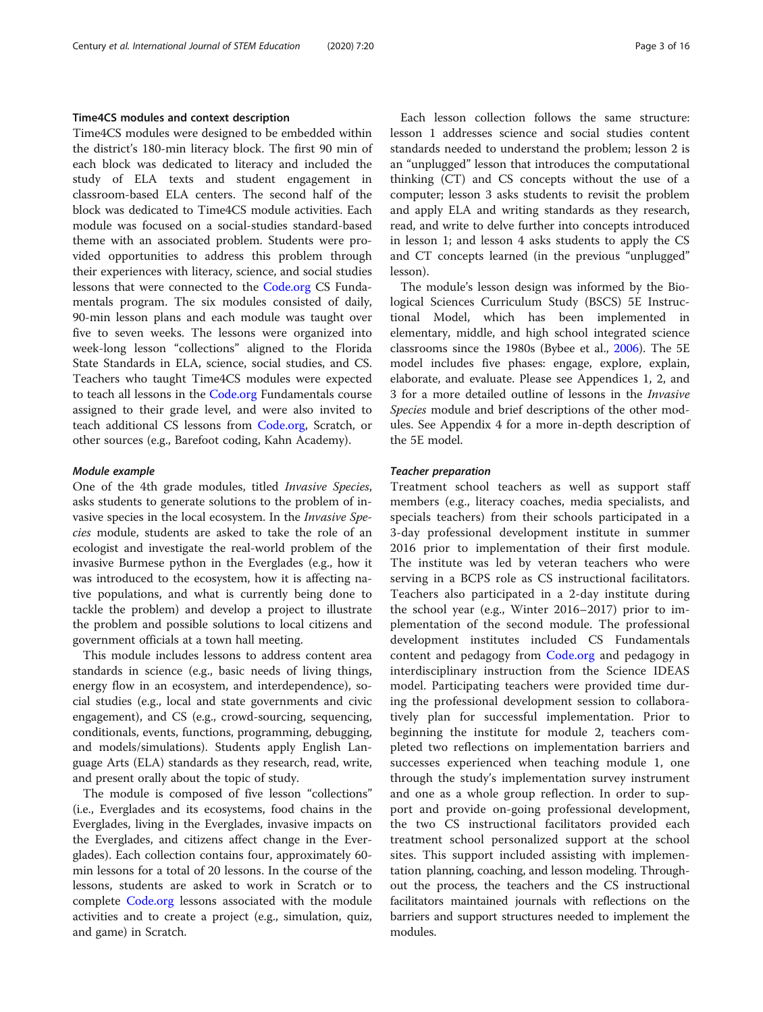### Time4CS modules and context description

Time4CS modules were designed to be embedded within the district's 180-min literacy block. The first 90 min of each block was dedicated to literacy and included the study of ELA texts and student engagement in classroom-based ELA centers. The second half of the block was dedicated to Time4CS module activities. Each module was focused on a social-studies standard-based theme with an associated problem. Students were provided opportunities to address this problem through their experiences with literacy, science, and social studies lessons that were connected to the [Code.org](http://code.org) CS Fundamentals program. The six modules consisted of daily, 90-min lesson plans and each module was taught over five to seven weeks. The lessons were organized into week-long lesson "collections" aligned to the Florida State Standards in ELA, science, social studies, and CS. Teachers who taught Time4CS modules were expected to teach all lessons in the [Code.org](http://code.org) Fundamentals course assigned to their grade level, and were also invited to teach additional CS lessons from [Code.org](http://code.org), Scratch, or other sources (e.g., Barefoot coding, Kahn Academy).

#### Module example

One of the 4th grade modules, titled Invasive Species, asks students to generate solutions to the problem of invasive species in the local ecosystem. In the Invasive Species module, students are asked to take the role of an ecologist and investigate the real-world problem of the invasive Burmese python in the Everglades (e.g., how it was introduced to the ecosystem, how it is affecting native populations, and what is currently being done to tackle the problem) and develop a project to illustrate the problem and possible solutions to local citizens and government officials at a town hall meeting.

This module includes lessons to address content area standards in science (e.g., basic needs of living things, energy flow in an ecosystem, and interdependence), social studies (e.g., local and state governments and civic engagement), and CS (e.g., crowd-sourcing, sequencing, conditionals, events, functions, programming, debugging, and models/simulations). Students apply English Language Arts (ELA) standards as they research, read, write, and present orally about the topic of study.

The module is composed of five lesson "collections" (i.e., Everglades and its ecosystems, food chains in the Everglades, living in the Everglades, invasive impacts on the Everglades, and citizens affect change in the Everglades). Each collection contains four, approximately 60 min lessons for a total of 20 lessons. In the course of the lessons, students are asked to work in Scratch or to complete [Code.org](http://code.org) lessons associated with the module activities and to create a project (e.g., simulation, quiz, and game) in Scratch.

Each lesson collection follows the same structure: lesson 1 addresses science and social studies content standards needed to understand the problem; lesson 2 is an "unplugged" lesson that introduces the computational thinking (CT) and CS concepts without the use of a computer; lesson 3 asks students to revisit the problem and apply ELA and writing standards as they research, read, and write to delve further into concepts introduced in lesson 1; and lesson 4 asks students to apply the CS and CT concepts learned (in the previous "unplugged" lesson).

The module's lesson design was informed by the Biological Sciences Curriculum Study (BSCS) 5E Instructional Model, which has been implemented in elementary, middle, and high school integrated science classrooms since the 1980s (Bybee et al., [2006\)](#page-14-0). The 5E model includes five phases: engage, explore, explain, elaborate, and evaluate. Please see Appendices 1, 2, and 3 for a more detailed outline of lessons in the Invasive Species module and brief descriptions of the other modules. See Appendix 4 for a more in-depth description of the 5E model.

#### Teacher preparation

Treatment school teachers as well as support staff members (e.g., literacy coaches, media specialists, and specials teachers) from their schools participated in a 3-day professional development institute in summer 2016 prior to implementation of their first module. The institute was led by veteran teachers who were serving in a BCPS role as CS instructional facilitators. Teachers also participated in a 2-day institute during the school year (e.g., Winter 2016–2017) prior to implementation of the second module. The professional development institutes included CS Fundamentals content and pedagogy from [Code.org](http://code.org) and pedagogy in interdisciplinary instruction from the Science IDEAS model. Participating teachers were provided time during the professional development session to collaboratively plan for successful implementation. Prior to beginning the institute for module 2, teachers completed two reflections on implementation barriers and successes experienced when teaching module 1, one through the study's implementation survey instrument and one as a whole group reflection. In order to support and provide on-going professional development, the two CS instructional facilitators provided each treatment school personalized support at the school sites. This support included assisting with implementation planning, coaching, and lesson modeling. Throughout the process, the teachers and the CS instructional facilitators maintained journals with reflections on the barriers and support structures needed to implement the modules.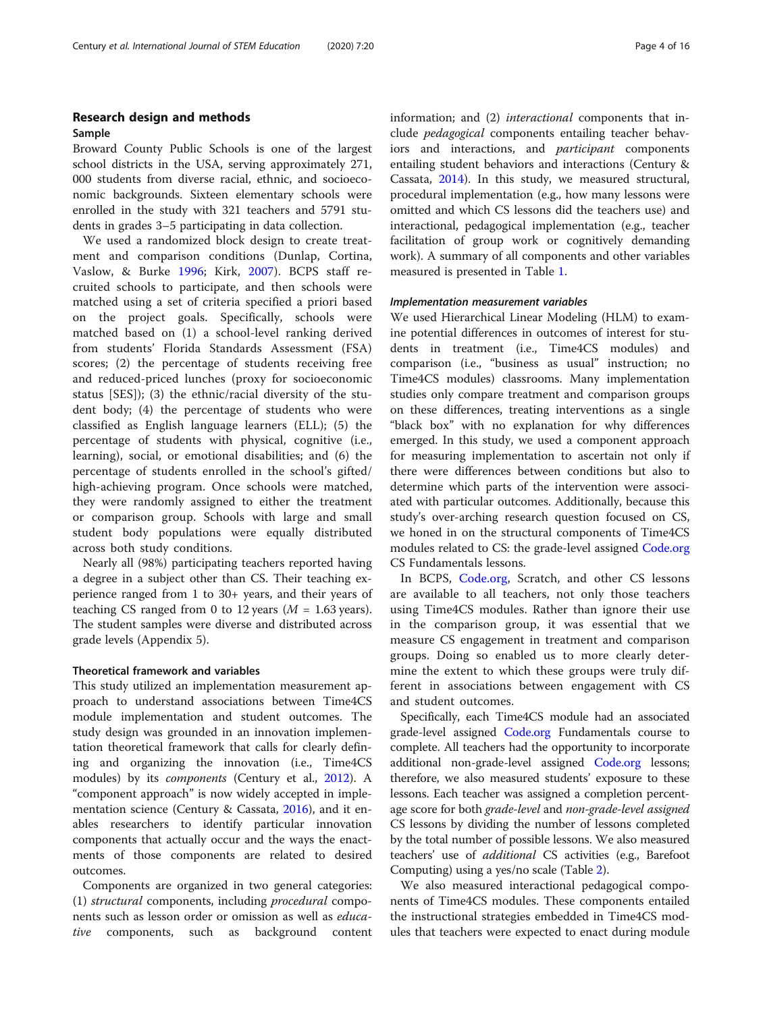## Research design and methods Sample

Broward County Public Schools is one of the largest school districts in the USA, serving approximately 271, 000 students from diverse racial, ethnic, and socioeconomic backgrounds. Sixteen elementary schools were enrolled in the study with 321 teachers and 5791 students in grades 3–5 participating in data collection.

We used a randomized block design to create treatment and comparison conditions (Dunlap, Cortina, Vaslow, & Burke [1996](#page-14-0); Kirk, [2007\)](#page-14-0). BCPS staff recruited schools to participate, and then schools were matched using a set of criteria specified a priori based on the project goals. Specifically, schools were matched based on (1) a school-level ranking derived from students' Florida Standards Assessment (FSA) scores; (2) the percentage of students receiving free and reduced-priced lunches (proxy for socioeconomic status [SES]); (3) the ethnic/racial diversity of the student body; (4) the percentage of students who were classified as English language learners (ELL); (5) the percentage of students with physical, cognitive (i.e., learning), social, or emotional disabilities; and (6) the percentage of students enrolled in the school's gifted/ high-achieving program. Once schools were matched, they were randomly assigned to either the treatment or comparison group. Schools with large and small student body populations were equally distributed across both study conditions.

Nearly all (98%) participating teachers reported having a degree in a subject other than CS. Their teaching experience ranged from 1 to 30+ years, and their years of teaching CS ranged from 0 to 12 years ( $M = 1.63$  years). The student samples were diverse and distributed across grade levels (Appendix 5).

#### Theoretical framework and variables

This study utilized an implementation measurement approach to understand associations between Time4CS module implementation and student outcomes. The study design was grounded in an innovation implementation theoretical framework that calls for clearly defining and organizing the innovation (i.e., Time4CS modules) by its *components* (Century et al., [2012\)](#page-14-0). A "component approach" is now widely accepted in implementation science (Century & Cassata, [2016\)](#page-14-0), and it enables researchers to identify particular innovation components that actually occur and the ways the enactments of those components are related to desired outcomes.

Components are organized in two general categories: (1) structural components, including procedural components such as lesson order or omission as well as educative components, such as background content information; and (2) interactional components that include pedagogical components entailing teacher behaviors and interactions, and participant components entailing student behaviors and interactions (Century & Cassata, [2014](#page-14-0)). In this study, we measured structural, procedural implementation (e.g., how many lessons were omitted and which CS lessons did the teachers use) and interactional, pedagogical implementation (e.g., teacher facilitation of group work or cognitively demanding work). A summary of all components and other variables measured is presented in Table [1.](#page-4-0)

#### Implementation measurement variables

We used Hierarchical Linear Modeling (HLM) to examine potential differences in outcomes of interest for students in treatment (i.e., Time4CS modules) and comparison (i.e., "business as usual" instruction; no Time4CS modules) classrooms. Many implementation studies only compare treatment and comparison groups on these differences, treating interventions as a single "black box" with no explanation for why differences emerged. In this study, we used a component approach for measuring implementation to ascertain not only if there were differences between conditions but also to determine which parts of the intervention were associated with particular outcomes. Additionally, because this study's over-arching research question focused on CS, we honed in on the structural components of Time4CS modules related to CS: the grade-level assigned [Code.org](http://code.org) CS Fundamentals lessons.

In BCPS, [Code.org](http://code.org), Scratch, and other CS lessons are available to all teachers, not only those teachers using Time4CS modules. Rather than ignore their use in the comparison group, it was essential that we measure CS engagement in treatment and comparison groups. Doing so enabled us to more clearly determine the extent to which these groups were truly different in associations between engagement with CS and student outcomes.

Specifically, each Time4CS module had an associated grade-level assigned [Code.org](http://code.org) Fundamentals course to complete. All teachers had the opportunity to incorporate additional non-grade-level assigned [Code.org](http://code.org) lessons; therefore, we also measured students' exposure to these lessons. Each teacher was assigned a completion percentage score for both grade-level and non-grade-level assigned CS lessons by dividing the number of lessons completed by the total number of possible lessons. We also measured teachers' use of additional CS activities (e.g., Barefoot Computing) using a yes/no scale (Table [2](#page-4-0)).

We also measured interactional pedagogical components of Time4CS modules. These components entailed the instructional strategies embedded in Time4CS modules that teachers were expected to enact during module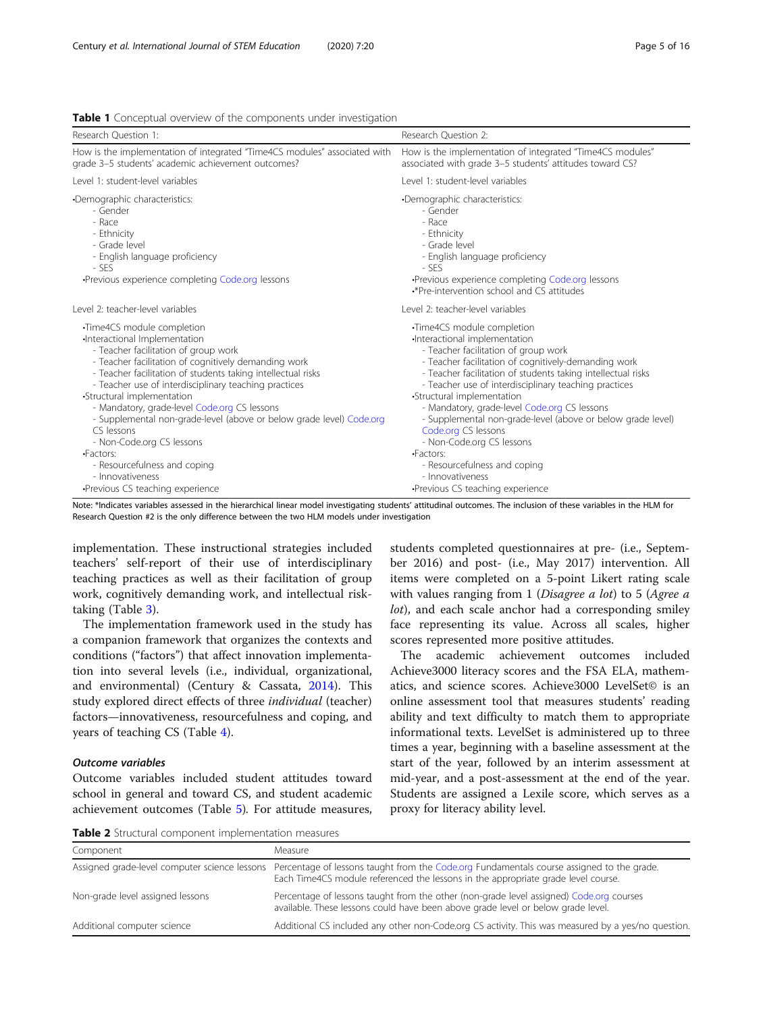| Research Question 1:                                                                                                                                                                                                                                                                                                                                                                                                                                                                                                                                  | Research Question 2:                                                                                                                                                                                                                                                                                                                                                                                                                                                                                                                                         |
|-------------------------------------------------------------------------------------------------------------------------------------------------------------------------------------------------------------------------------------------------------------------------------------------------------------------------------------------------------------------------------------------------------------------------------------------------------------------------------------------------------------------------------------------------------|--------------------------------------------------------------------------------------------------------------------------------------------------------------------------------------------------------------------------------------------------------------------------------------------------------------------------------------------------------------------------------------------------------------------------------------------------------------------------------------------------------------------------------------------------------------|
| How is the implementation of integrated "Time4CS modules" associated with<br>grade 3-5 students' academic achievement outcomes?                                                                                                                                                                                                                                                                                                                                                                                                                       | How is the implementation of integrated "Time4CS modules"<br>associated with grade 3-5 students' attitudes toward CS?                                                                                                                                                                                                                                                                                                                                                                                                                                        |
| Level 1: student-level variables                                                                                                                                                                                                                                                                                                                                                                                                                                                                                                                      | Level 1: student-level variables                                                                                                                                                                                                                                                                                                                                                                                                                                                                                                                             |
| •Demographic characteristics:<br>- Gender<br>- Race<br>- Ethnicity<br>- Grade level<br>- English language proficiency<br>- SES<br>•Previous experience completing Code.org lessons                                                                                                                                                                                                                                                                                                                                                                    | •Demographic characteristics:<br>- Gender<br>- Race<br>- Ethnicity<br>- Grade level<br>- English language proficiency<br>$-$ SES<br>•Previous experience completing Code.org lessons<br>.*Pre-intervention school and CS attitudes                                                                                                                                                                                                                                                                                                                           |
| Level 2: teacher-level variables                                                                                                                                                                                                                                                                                                                                                                                                                                                                                                                      | Level 2: teacher-level variables                                                                                                                                                                                                                                                                                                                                                                                                                                                                                                                             |
| •Time4CS module completion<br>Interactional Implementation<br>- Teacher facilitation of group work<br>- Teacher facilitation of cognitively demanding work<br>- Teacher facilitation of students taking intellectual risks<br>- Teacher use of interdisciplinary teaching practices<br>•Structural implementation<br>- Mandatory, grade-level Code.org CS lessons<br>- Supplemental non-grade-level (above or below grade level) Code.org<br>CS lessons<br>- Non-Code.org CS lessons<br>·Factors:<br>- Resourcefulness and coping<br>- Innovativeness | •Time4CS module completion<br>Interactional implementation<br>- Teacher facilitation of group work<br>- Teacher facilitation of cognitively-demanding work<br>- Teacher facilitation of students taking intellectual risks<br>- Teacher use of interdisciplinary teaching practices<br>•Structural implementation<br>- Mandatory, grade-level Code.org CS lessons<br>- Supplemental non-grade-level (above or below grade level)<br>Code.org CS lessons<br>- Non-Code.org CS lessons<br><b>-Factors:</b><br>- Resourcefulness and coping<br>- Innovativeness |
| ·Previous CS teaching experience                                                                                                                                                                                                                                                                                                                                                                                                                                                                                                                      | •Previous CS teaching experience                                                                                                                                                                                                                                                                                                                                                                                                                                                                                                                             |

<span id="page-4-0"></span>Table 1 Conceptual overview of the components under investigation

Note: \*Indicates variables assessed in the hierarchical linear model investigating students' attitudinal outcomes. The inclusion of these variables in the HLM for Research Question #2 is the only difference between the two HLM models under investigation

implementation. These instructional strategies included teachers' self-report of their use of interdisciplinary teaching practices as well as their facilitation of group work, cognitively demanding work, and intellectual risktaking (Table [3\)](#page-5-0).

The implementation framework used in the study has a companion framework that organizes the contexts and conditions ("factors") that affect innovation implementation into several levels (i.e., individual, organizational, and environmental) (Century & Cassata, [2014\)](#page-14-0). This study explored direct effects of three individual (teacher) factors—innovativeness, resourcefulness and coping, and years of teaching CS (Table [4](#page-5-0)).

#### Outcome variables

Outcome variables included student attitudes toward school in general and toward CS, and student academic achievement outcomes (Table [5](#page-6-0)). For attitude measures,

students completed questionnaires at pre- (i.e., September 2016) and post- (i.e., May 2017) intervention. All items were completed on a 5-point Likert rating scale with values ranging from 1 (Disagree a lot) to 5 (Agree a lot), and each scale anchor had a corresponding smiley face representing its value. Across all scales, higher scores represented more positive attitudes.

The academic achievement outcomes included Achieve3000 literacy scores and the FSA ELA, mathematics, and science scores. Achieve3000 LevelSet© is an online assessment tool that measures students' reading ability and text difficulty to match them to appropriate informational texts. LevelSet is administered up to three times a year, beginning with a baseline assessment at the start of the year, followed by an interim assessment at mid-year, and a post-assessment at the end of the year. Students are assigned a Lexile score, which serves as a proxy for literacy ability level.

Table 2 Structural component implementation measures

| Component                        | Measure                                                                                                                                                                                                                      |
|----------------------------------|------------------------------------------------------------------------------------------------------------------------------------------------------------------------------------------------------------------------------|
|                                  | Assigned grade-level computer science lessons Percentage of lessons taught from the Code.org Fundamentals course assigned to the grade.<br>Each Time4CS module referenced the lessons in the appropriate grade level course. |
| Non-grade level assigned lessons | Percentage of lessons taught from the other (non-grade level assigned) Code.org courses<br>available. These lessons could have been above grade level or below grade level.                                                  |
| Additional computer science      | Additional CS included any other non-Code.org CS activity. This was measured by a yes/no question.                                                                                                                           |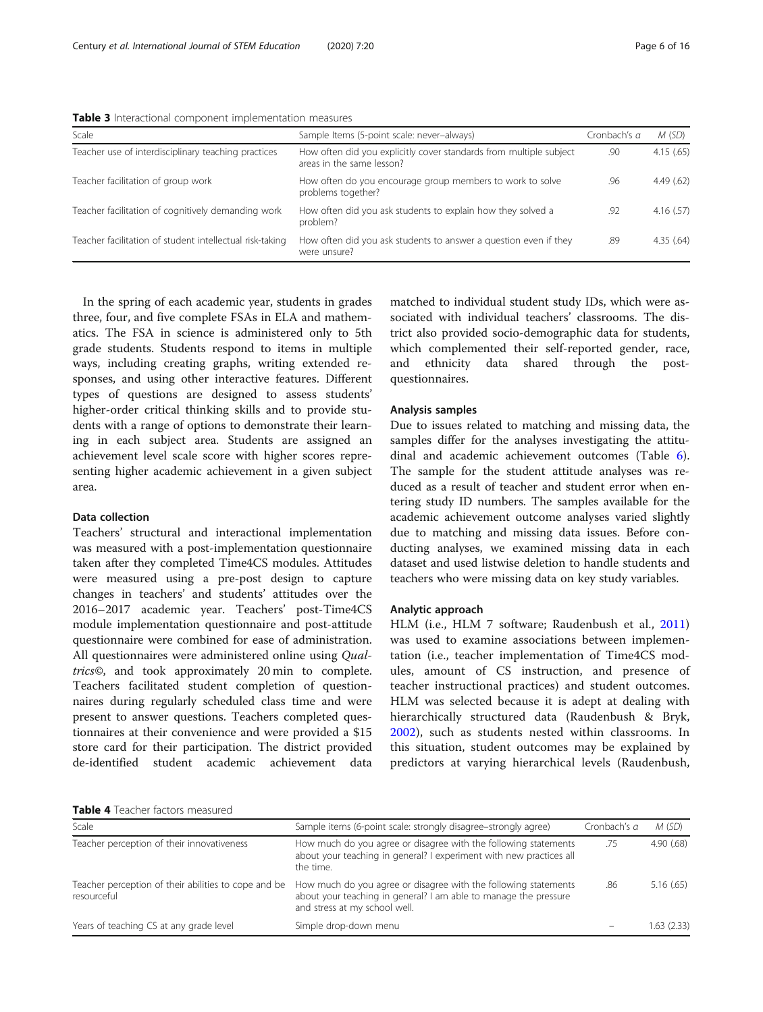<span id="page-5-0"></span>Table 3 Interactional component implementation measures

| Scale                                                    | Sample Items (5-point scale: never-always)                                                      | Cronbach's <i>α</i> | M(SD)     |
|----------------------------------------------------------|-------------------------------------------------------------------------------------------------|---------------------|-----------|
| Teacher use of interdisciplinary teaching practices      | How often did you explicitly cover standards from multiple subject<br>areas in the same lesson? | .90                 | 4.15(65)  |
| Teacher facilitation of group work                       | How often do you encourage group members to work to solve<br>problems together?                 | .96                 | 4.49(.62) |
| Teacher facilitation of cognitively demanding work       | How often did you ask students to explain how they solved a<br>problem?                         | .92                 | 4.16(.57) |
| Teacher facilitation of student intellectual risk-taking | How often did you ask students to answer a question even if they<br>were unsure?                | .89                 | 4.35(.64) |

In the spring of each academic year, students in grades three, four, and five complete FSAs in ELA and mathematics. The FSA in science is administered only to 5th grade students. Students respond to items in multiple ways, including creating graphs, writing extended responses, and using other interactive features. Different types of questions are designed to assess students' higher-order critical thinking skills and to provide students with a range of options to demonstrate their learning in each subject area. Students are assigned an achievement level scale score with higher scores representing higher academic achievement in a given subject area.

#### Data collection

Teachers' structural and interactional implementation was measured with a post-implementation questionnaire taken after they completed Time4CS modules. Attitudes were measured using a pre-post design to capture changes in teachers' and students' attitudes over the 2016–2017 academic year. Teachers' post-Time4CS module implementation questionnaire and post-attitude questionnaire were combined for ease of administration. All questionnaires were administered online using Qualtrics©, and took approximately 20 min to complete. Teachers facilitated student completion of questionnaires during regularly scheduled class time and were present to answer questions. Teachers completed questionnaires at their convenience and were provided a \$15 store card for their participation. The district provided de-identified student academic achievement data

matched to individual student study IDs, which were associated with individual teachers' classrooms. The district also provided socio-demographic data for students, which complemented their self-reported gender, race, and ethnicity data shared through the postquestionnaires.

#### Analysis samples

Due to issues related to matching and missing data, the samples differ for the analyses investigating the attitudinal and academic achievement outcomes (Table [6](#page-6-0)). The sample for the student attitude analyses was reduced as a result of teacher and student error when entering study ID numbers. The samples available for the academic achievement outcome analyses varied slightly due to matching and missing data issues. Before conducting analyses, we examined missing data in each dataset and used listwise deletion to handle students and teachers who were missing data on key study variables.

#### Analytic approach

HLM (i.e., HLM 7 software; Raudenbush et al., [2011](#page-14-0)) was used to examine associations between implementation (i.e., teacher implementation of Time4CS modules, amount of CS instruction, and presence of teacher instructional practices) and student outcomes. HLM was selected because it is adept at dealing with hierarchically structured data (Raudenbush & Bryk, [2002\)](#page-14-0), such as students nested within classrooms. In this situation, student outcomes may be explained by predictors at varying hierarchical levels (Raudenbush,

Table 4 Teacher factors measured

| Scale                                                               | Sample items (6-point scale: strongly disagree-strongly agree)                                                                                                       | Cronbach's <i>a</i> | M(SD)      |
|---------------------------------------------------------------------|----------------------------------------------------------------------------------------------------------------------------------------------------------------------|---------------------|------------|
| Teacher perception of their innovativeness                          | How much do you agree or disagree with the following statements<br>about your teaching in general? I experiment with new practices all<br>the time.                  | .75                 | 4.90(68)   |
| Teacher perception of their abilities to cope and be<br>resourceful | How much do you agree or disagree with the following statements<br>about your teaching in general? I am able to manage the pressure<br>and stress at my school well. | .86                 | 5.16(.65)  |
| Years of teaching CS at any grade level                             | Simple drop-down menu                                                                                                                                                |                     | 1.63(2.33) |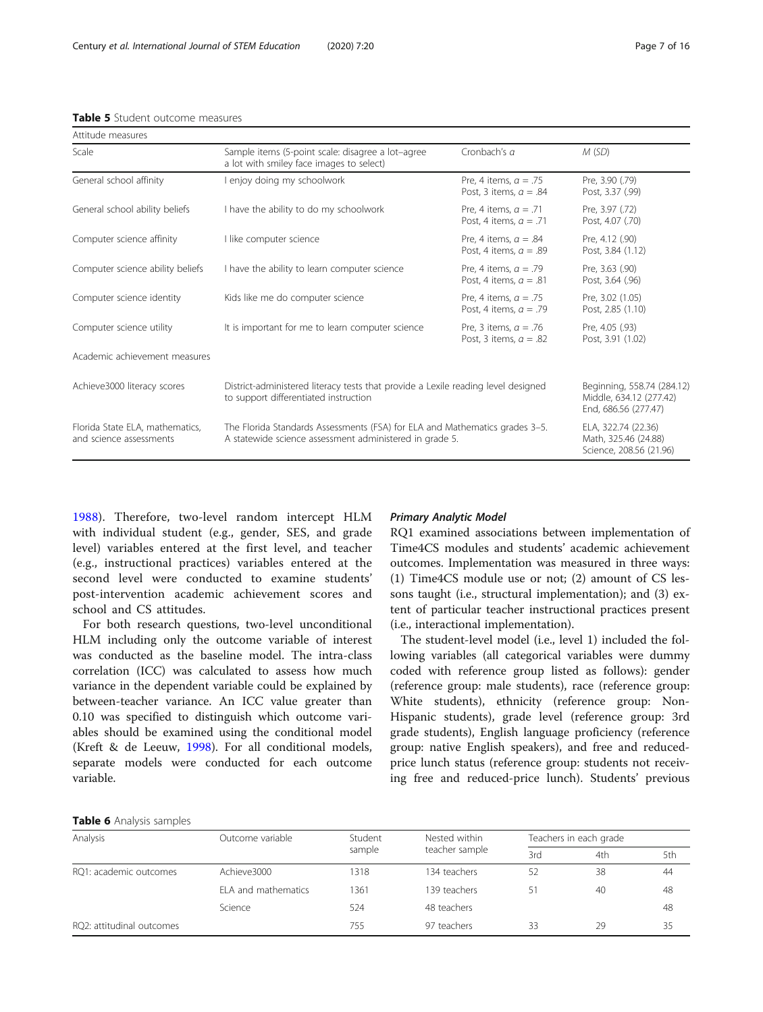<span id="page-6-0"></span>

| Table 5 Student outcome measures |  |
|----------------------------------|--|
|----------------------------------|--|

| Attitude measures                                          |                                                                                                                                        |                                                          |                                                                               |  |
|------------------------------------------------------------|----------------------------------------------------------------------------------------------------------------------------------------|----------------------------------------------------------|-------------------------------------------------------------------------------|--|
| Scale                                                      | Sample items (5-point scale: disagree a lot-agree<br>a lot with smiley face images to select)                                          | Cronbach's a                                             | M(SD)                                                                         |  |
| General school affinity                                    | l enjoy doing my schoolwork                                                                                                            | Pre, 4 items, $\alpha = .75$<br>Post. 3 items. $a = .84$ | Pre, 3.90 (.79)<br>Post, 3.37 (.99)                                           |  |
| General school ability beliefs                             | I have the ability to do my schoolwork                                                                                                 | Pre, 4 items, $a = .71$<br>Post, 4 items, $a = .71$      | Pre, 3.97 (.72)<br>Post, 4.07 (.70)                                           |  |
| Computer science affinity                                  | I like computer science                                                                                                                | Pre, 4 items, $a = .84$<br>Post, 4 items, $a = .89$      | Pre, 4.12 (.90)<br>Post, 3.84 (1.12)                                          |  |
| Computer science ability beliefs                           | I have the ability to learn computer science                                                                                           | Pre, 4 items, $a = .79$<br>Post, 4 items, $a = .81$      | Pre, 3.63 (.90)<br>Post, 3.64 (.96)                                           |  |
| Computer science identity                                  | Kids like me do computer science                                                                                                       | Pre, 4 items, $a = .75$<br>Post, 4 items, $a = .79$      | Pre, 3.02 (1.05)<br>Post, 2.85 (1.10)                                         |  |
| Computer science utility                                   | It is important for me to learn computer science                                                                                       | Pre, 3 items, $a = .76$<br>Post, 3 items, $a = .82$      | Pre, 4.05 (.93)<br>Post, 3.91 (1.02)                                          |  |
| Academic achievement measures                              |                                                                                                                                        |                                                          |                                                                               |  |
| Achieve3000 literacy scores                                | District-administered literacy tests that provide a Lexile reading level designed<br>to support differentiated instruction             |                                                          | Beginning, 558.74 (284.12)<br>Middle, 634.12 (277.42)<br>End, 686.56 (277.47) |  |
| Florida State ELA, mathematics,<br>and science assessments | The Florida Standards Assessments (FSA) for ELA and Mathematics grades 3-5.<br>A statewide science assessment administered in grade 5. |                                                          | ELA, 322.74 (22.36)<br>Math, 325.46 (24.88)<br>Science, 208.56 (21.96)        |  |

[1988\)](#page-14-0). Therefore, two-level random intercept HLM with individual student (e.g., gender, SES, and grade level) variables entered at the first level, and teacher (e.g., instructional practices) variables entered at the second level were conducted to examine students' post-intervention academic achievement scores and school and CS attitudes.

For both research questions, two-level unconditional HLM including only the outcome variable of interest was conducted as the baseline model. The intra-class correlation (ICC) was calculated to assess how much variance in the dependent variable could be explained by between-teacher variance. An ICC value greater than 0.10 was specified to distinguish which outcome variables should be examined using the conditional model (Kreft & de Leeuw, [1998](#page-14-0)). For all conditional models, separate models were conducted for each outcome variable.

#### Primary Analytic Model

RQ1 examined associations between implementation of Time4CS modules and students' academic achievement outcomes. Implementation was measured in three ways: (1) Time4CS module use or not; (2) amount of CS lessons taught (i.e., structural implementation); and (3) extent of particular teacher instructional practices present (i.e., interactional implementation).

The student-level model (i.e., level 1) included the following variables (all categorical variables were dummy coded with reference group listed as follows): gender (reference group: male students), race (reference group: White students), ethnicity (reference group: Non-Hispanic students), grade level (reference group: 3rd grade students), English language proficiency (reference group: native English speakers), and free and reducedprice lunch status (reference group: students not receiving free and reduced-price lunch). Students' previous

#### Table 6 Analysis samples

| Analysis                  | Outcome variable    | Student | Nested within  | Teachers in each grade |     |     |
|---------------------------|---------------------|---------|----------------|------------------------|-----|-----|
|                           |                     | sample  | teacher sample | 3rd                    | 4th | 5th |
| RQ1: academic outcomes    | Achieve3000         | 1318    | 134 teachers   | 52                     | 38  | 44  |
|                           | ELA and mathematics | 1361    | 139 teachers   | 51                     | 40  | 48  |
|                           | Science             | 524     | 48 teachers    |                        |     | 48  |
| RQ2: attitudinal outcomes |                     | 755     | 97 teachers    | 33                     | 29  | 35  |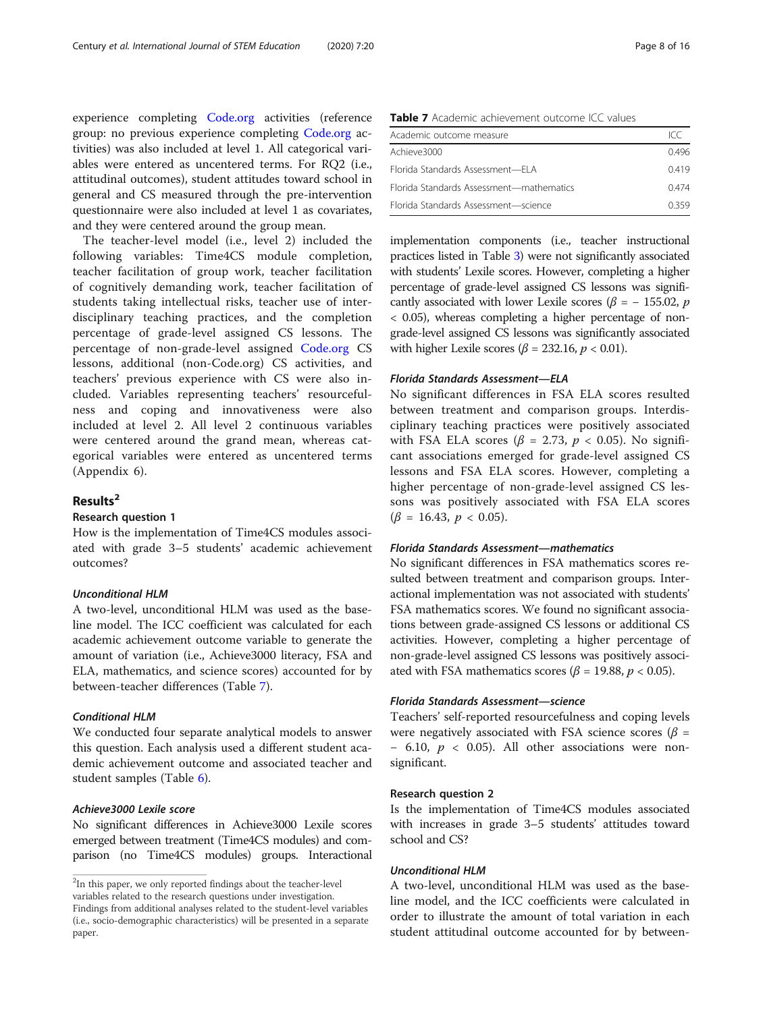experience completing [Code.org](http://code.org) activities (reference group: no previous experience completing [Code.org](http://code.org) activities) was also included at level 1. All categorical variables were entered as uncentered terms. For RQ2 (i.e., attitudinal outcomes), student attitudes toward school in general and CS measured through the pre-intervention questionnaire were also included at level 1 as covariates, and they were centered around the group mean.

The teacher-level model (i.e., level 2) included the following variables: Time4CS module completion, teacher facilitation of group work, teacher facilitation of cognitively demanding work, teacher facilitation of students taking intellectual risks, teacher use of interdisciplinary teaching practices, and the completion percentage of grade-level assigned CS lessons. The percentage of non-grade-level assigned [Code.org](http://code.org) CS lessons, additional (non-Code.org) CS activities, and teachers' previous experience with CS were also included. Variables representing teachers' resourcefulness and coping and innovativeness were also included at level 2. All level 2 continuous variables were centered around the grand mean, whereas categorical variables were entered as uncentered terms (Appendix 6).

## Results<sup>2</sup>

#### Research question 1

How is the implementation of Time4CS modules associated with grade 3–5 students' academic achievement outcomes?

#### Unconditional HLM

A two-level, unconditional HLM was used as the baseline model. The ICC coefficient was calculated for each academic achievement outcome variable to generate the amount of variation (i.e., Achieve3000 literacy, FSA and ELA, mathematics, and science scores) accounted for by between-teacher differences (Table 7).

#### Conditional HLM

paper.

We conducted four separate analytical models to answer this question. Each analysis used a different student academic achievement outcome and associated teacher and student samples (Table [6](#page-6-0)).

## Achieve3000 Lexile score

No significant differences in Achieve3000 Lexile scores emerged between treatment (Time4CS modules) and comparison (no Time4CS modules) groups. Interactional

Table 7 Academic achievement outcome ICC values

| Academic outcome measure                 | ICC  |
|------------------------------------------|------|
| Achieve3000                              | 0496 |
| Florida Standards Assessment-FLA         | 0419 |
| Florida Standards Assessment-mathematics | 0474 |
| Florida Standards Assessment-science     | 0359 |

implementation components (i.e., teacher instructional practices listed in Table [3\)](#page-5-0) were not significantly associated with students' Lexile scores. However, completing a higher percentage of grade-level assigned CS lessons was significantly associated with lower Lexile scores ( $\beta$  = - 155.02, p < 0.05), whereas completing a higher percentage of nongrade-level assigned CS lessons was significantly associated with higher Lexile scores ( $\beta$  = 232.16,  $p$  < 0.01).

#### Florida Standards Assessment—ELA

No significant differences in FSA ELA scores resulted between treatment and comparison groups. Interdisciplinary teaching practices were positively associated with FSA ELA scores ( $\beta$  = 2.73,  $p$  < 0.05). No significant associations emerged for grade-level assigned CS lessons and FSA ELA scores. However, completing a higher percentage of non-grade-level assigned CS lessons was positively associated with FSA ELA scores  $(\beta = 16.43, p < 0.05)$ .

#### Florida Standards Assessment—mathematics

No significant differences in FSA mathematics scores resulted between treatment and comparison groups. Interactional implementation was not associated with students' FSA mathematics scores. We found no significant associations between grade-assigned CS lessons or additional CS activities. However, completing a higher percentage of non-grade-level assigned CS lessons was positively associated with FSA mathematics scores ( $\beta$  = 19.88,  $p$  < 0.05).

#### Florida Standards Assessment—science

Teachers' self-reported resourcefulness and coping levels were negatively associated with FSA science scores ( $\beta$  =  $-6.10, p < 0.05$ ). All other associations were nonsignificant.

#### Research question 2

Is the implementation of Time4CS modules associated with increases in grade 3–5 students' attitudes toward school and CS?

### Unconditional HLM

A two-level, unconditional HLM was used as the baseline model, and the ICC coefficients were calculated in order to illustrate the amount of total variation in each student attitudinal outcome accounted for by between-

 $2$ In this paper, we only reported findings about the teacher-level variables related to the research questions under investigation. Findings from additional analyses related to the student-level variables (i.e., socio-demographic characteristics) will be presented in a separate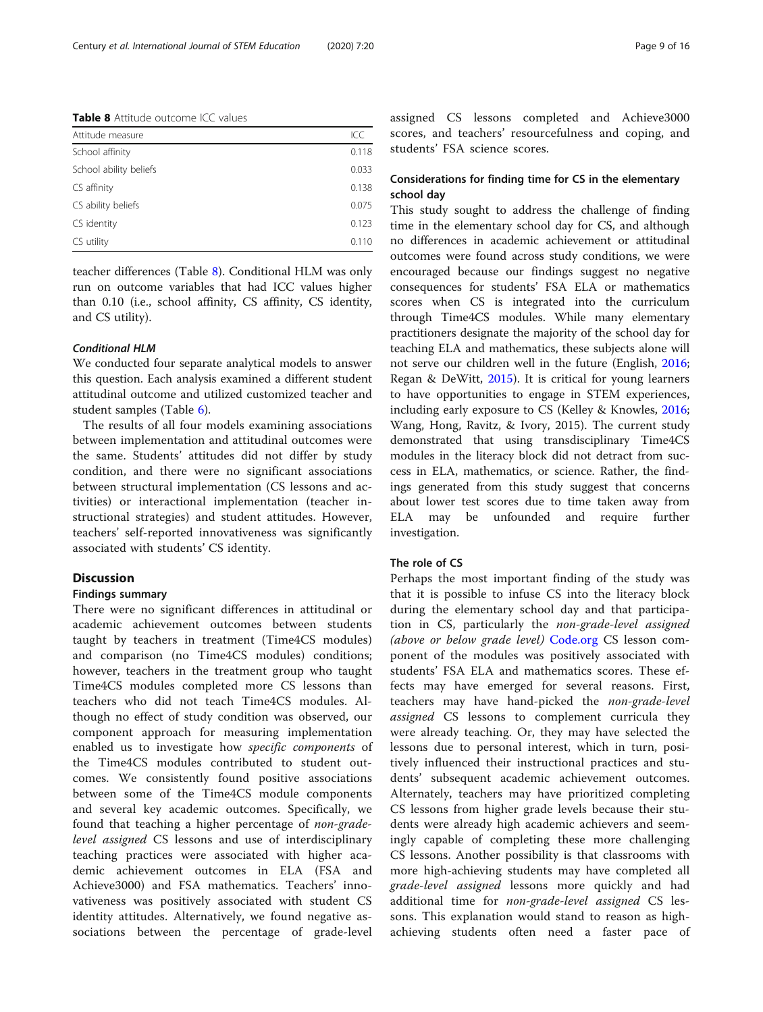Table 8 Attitude outcome ICC values

| Attitude measure       | ICC   |
|------------------------|-------|
| School affinity        | 0.118 |
| School ability beliefs | 0.033 |
| CS affinity            | 0.138 |
| CS ability beliefs     | 0.075 |
| CS identity            | 0.123 |
| CS utility             | 0.110 |

teacher differences (Table 8). Conditional HLM was only run on outcome variables that had ICC values higher than 0.10 (i.e., school affinity, CS affinity, CS identity, and CS utility).

#### Conditional HLM

We conducted four separate analytical models to answer this question. Each analysis examined a different student attitudinal outcome and utilized customized teacher and student samples (Table [6](#page-6-0)).

The results of all four models examining associations between implementation and attitudinal outcomes were the same. Students' attitudes did not differ by study condition, and there were no significant associations between structural implementation (CS lessons and activities) or interactional implementation (teacher instructional strategies) and student attitudes. However, teachers' self-reported innovativeness was significantly associated with students' CS identity.

## Discussion

#### Findings summary

There were no significant differences in attitudinal or academic achievement outcomes between students taught by teachers in treatment (Time4CS modules) and comparison (no Time4CS modules) conditions; however, teachers in the treatment group who taught Time4CS modules completed more CS lessons than teachers who did not teach Time4CS modules. Although no effect of study condition was observed, our component approach for measuring implementation enabled us to investigate how specific components of the Time4CS modules contributed to student outcomes. We consistently found positive associations between some of the Time4CS module components and several key academic outcomes. Specifically, we found that teaching a higher percentage of non-gradelevel assigned CS lessons and use of interdisciplinary teaching practices were associated with higher academic achievement outcomes in ELA (FSA and Achieve3000) and FSA mathematics. Teachers' innovativeness was positively associated with student CS identity attitudes. Alternatively, we found negative associations between the percentage of grade-level

assigned CS lessons completed and Achieve3000 scores, and teachers' resourcefulness and coping, and students' FSA science scores.

## Considerations for finding time for CS in the elementary school day

This study sought to address the challenge of finding time in the elementary school day for CS, and although no differences in academic achievement or attitudinal outcomes were found across study conditions, we were encouraged because our findings suggest no negative consequences for students' FSA ELA or mathematics scores when CS is integrated into the curriculum through Time4CS modules. While many elementary practitioners designate the majority of the school day for teaching ELA and mathematics, these subjects alone will not serve our children well in the future (English, [2016](#page-14-0); Regan & DeWitt, [2015\)](#page-14-0). It is critical for young learners to have opportunities to engage in STEM experiences, including early exposure to CS (Kelley & Knowles, [2016](#page-14-0); Wang, Hong, Ravitz, & Ivory, 2015). The current study demonstrated that using transdisciplinary Time4CS modules in the literacy block did not detract from success in ELA, mathematics, or science. Rather, the findings generated from this study suggest that concerns about lower test scores due to time taken away from ELA may be unfounded and require further investigation.

#### The role of CS

Perhaps the most important finding of the study was that it is possible to infuse CS into the literacy block during the elementary school day and that participation in CS, particularly the non-grade-level assigned (above or below grade level) [Code.org](http://code.org) CS lesson component of the modules was positively associated with students' FSA ELA and mathematics scores. These effects may have emerged for several reasons. First, teachers may have hand-picked the non-grade-level assigned CS lessons to complement curricula they were already teaching. Or, they may have selected the lessons due to personal interest, which in turn, positively influenced their instructional practices and students' subsequent academic achievement outcomes. Alternately, teachers may have prioritized completing CS lessons from higher grade levels because their students were already high academic achievers and seemingly capable of completing these more challenging CS lessons. Another possibility is that classrooms with more high-achieving students may have completed all grade-level assigned lessons more quickly and had additional time for non-grade-level assigned CS lessons. This explanation would stand to reason as highachieving students often need a faster pace of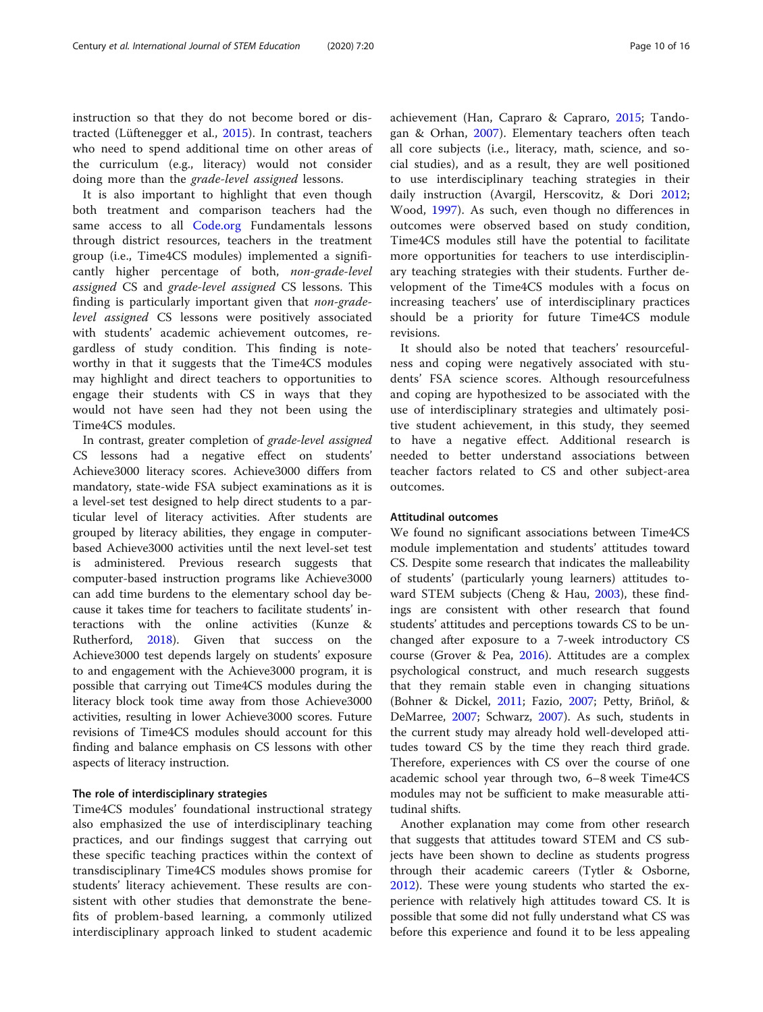instruction so that they do not become bored or distracted (Lüftenegger et al., [2015\)](#page-14-0). In contrast, teachers who need to spend additional time on other areas of the curriculum (e.g., literacy) would not consider doing more than the grade-level assigned lessons.

It is also important to highlight that even though both treatment and comparison teachers had the same access to all [Code.org](http://code.org) Fundamentals lessons through district resources, teachers in the treatment group (i.e., Time4CS modules) implemented a significantly higher percentage of both, non-grade-level assigned CS and grade-level assigned CS lessons. This finding is particularly important given that *non-grade*level assigned CS lessons were positively associated with students' academic achievement outcomes, regardless of study condition. This finding is noteworthy in that it suggests that the Time4CS modules may highlight and direct teachers to opportunities to engage their students with CS in ways that they would not have seen had they not been using the Time4CS modules.

In contrast, greater completion of grade-level assigned CS lessons had a negative effect on students' Achieve3000 literacy scores. Achieve3000 differs from mandatory, state-wide FSA subject examinations as it is a level-set test designed to help direct students to a particular level of literacy activities. After students are grouped by literacy abilities, they engage in computerbased Achieve3000 activities until the next level-set test is administered. Previous research suggests that computer-based instruction programs like Achieve3000 can add time burdens to the elementary school day because it takes time for teachers to facilitate students' interactions with the online activities (Kunze & Rutherford, [2018\)](#page-14-0). Given that success on the Achieve3000 test depends largely on students' exposure to and engagement with the Achieve3000 program, it is possible that carrying out Time4CS modules during the literacy block took time away from those Achieve3000 activities, resulting in lower Achieve3000 scores. Future revisions of Time4CS modules should account for this finding and balance emphasis on CS lessons with other aspects of literacy instruction.

#### The role of interdisciplinary strategies

Time4CS modules' foundational instructional strategy also emphasized the use of interdisciplinary teaching practices, and our findings suggest that carrying out these specific teaching practices within the context of transdisciplinary Time4CS modules shows promise for students' literacy achievement. These results are consistent with other studies that demonstrate the benefits of problem-based learning, a commonly utilized interdisciplinary approach linked to student academic achievement (Han, Capraro & Capraro, [2015;](#page-14-0) Tandogan & Orhan, [2007\)](#page-14-0). Elementary teachers often teach all core subjects (i.e., literacy, math, science, and social studies), and as a result, they are well positioned to use interdisciplinary teaching strategies in their daily instruction (Avargil, Herscovitz, & Dori [2012](#page-13-0); Wood, [1997](#page-15-0)). As such, even though no differences in outcomes were observed based on study condition, Time4CS modules still have the potential to facilitate more opportunities for teachers to use interdisciplinary teaching strategies with their students. Further development of the Time4CS modules with a focus on increasing teachers' use of interdisciplinary practices should be a priority for future Time4CS module revisions.

It should also be noted that teachers' resourcefulness and coping were negatively associated with students' FSA science scores. Although resourcefulness and coping are hypothesized to be associated with the use of interdisciplinary strategies and ultimately positive student achievement, in this study, they seemed to have a negative effect. Additional research is needed to better understand associations between teacher factors related to CS and other subject-area outcomes.

## Attitudinal outcomes

We found no significant associations between Time4CS module implementation and students' attitudes toward CS. Despite some research that indicates the malleability of students' (particularly young learners) attitudes toward STEM subjects (Cheng & Hau, [2003](#page-14-0)), these findings are consistent with other research that found students' attitudes and perceptions towards CS to be unchanged after exposure to a 7-week introductory CS course (Grover & Pea, [2016](#page-14-0)). Attitudes are a complex psychological construct, and much research suggests that they remain stable even in changing situations (Bohner & Dickel, [2011](#page-14-0); Fazio, [2007;](#page-14-0) Petty, Briñol, & DeMarree, [2007;](#page-14-0) Schwarz, [2007](#page-14-0)). As such, students in the current study may already hold well-developed attitudes toward CS by the time they reach third grade. Therefore, experiences with CS over the course of one academic school year through two, 6–8 week Time4CS modules may not be sufficient to make measurable attitudinal shifts.

Another explanation may come from other research that suggests that attitudes toward STEM and CS subjects have been shown to decline as students progress through their academic careers (Tytler & Osborne, [2012](#page-14-0)). These were young students who started the experience with relatively high attitudes toward CS. It is possible that some did not fully understand what CS was before this experience and found it to be less appealing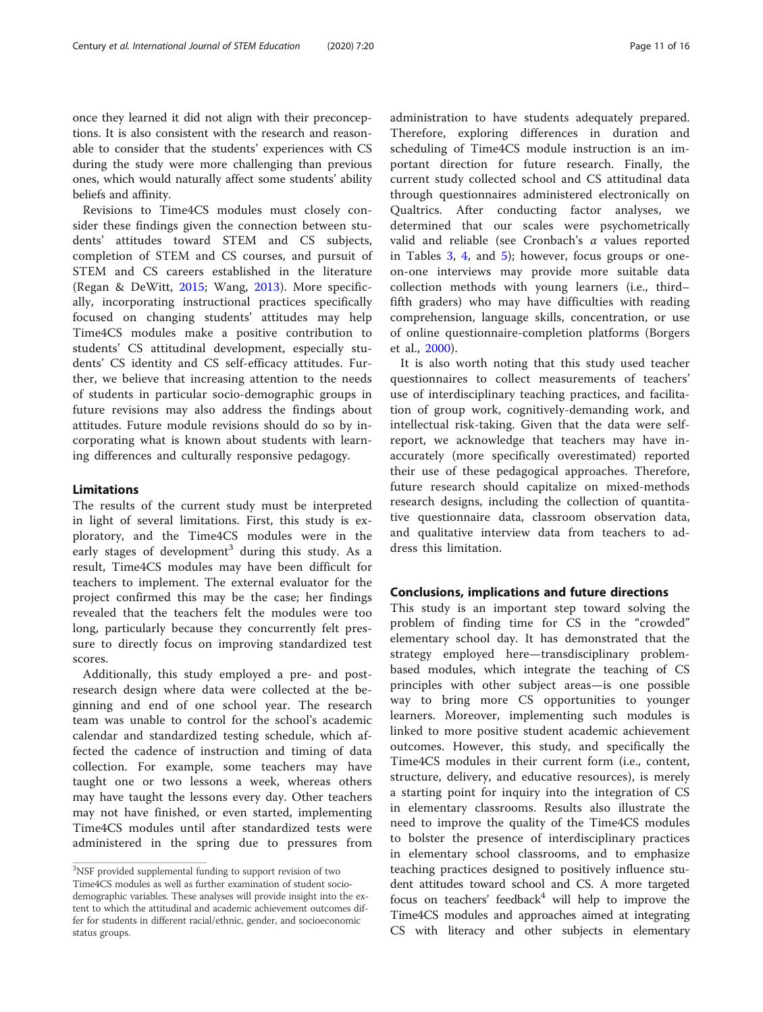once they learned it did not align with their preconceptions. It is also consistent with the research and reasonable to consider that the students' experiences with CS during the study were more challenging than previous ones, which would naturally affect some students' ability beliefs and affinity.

Revisions to Time4CS modules must closely consider these findings given the connection between students' attitudes toward STEM and CS subjects, completion of STEM and CS courses, and pursuit of STEM and CS careers established in the literature (Regan & DeWitt, [2015;](#page-14-0) Wang, [2013\)](#page-15-0). More specifically, incorporating instructional practices specifically focused on changing students' attitudes may help Time4CS modules make a positive contribution to students' CS attitudinal development, especially students' CS identity and CS self-efficacy attitudes. Further, we believe that increasing attention to the needs of students in particular socio-demographic groups in future revisions may also address the findings about attitudes. Future module revisions should do so by incorporating what is known about students with learning differences and culturally responsive pedagogy.

## Limitations

The results of the current study must be interpreted in light of several limitations. First, this study is exploratory, and the Time4CS modules were in the early stages of development<sup>3</sup> during this study. As a result, Time4CS modules may have been difficult for teachers to implement. The external evaluator for the project confirmed this may be the case; her findings revealed that the teachers felt the modules were too long, particularly because they concurrently felt pressure to directly focus on improving standardized test scores.

Additionally, this study employed a pre- and postresearch design where data were collected at the beginning and end of one school year. The research team was unable to control for the school's academic calendar and standardized testing schedule, which affected the cadence of instruction and timing of data collection. For example, some teachers may have taught one or two lessons a week, whereas others may have taught the lessons every day. Other teachers may not have finished, or even started, implementing Time4CS modules until after standardized tests were administered in the spring due to pressures from

administration to have students adequately prepared. Therefore, exploring differences in duration and scheduling of Time4CS module instruction is an important direction for future research. Finally, the current study collected school and CS attitudinal data through questionnaires administered electronically on Qualtrics. After conducting factor analyses, we determined that our scales were psychometrically valid and reliable (see Cronbach's  $\alpha$  values reported in Tables [3,](#page-5-0) [4](#page-5-0), and [5](#page-6-0)); however, focus groups or oneon-one interviews may provide more suitable data collection methods with young learners (i.e., third– fifth graders) who may have difficulties with reading comprehension, language skills, concentration, or use of online questionnaire-completion platforms (Borgers et al., [2000\)](#page-14-0).

It is also worth noting that this study used teacher questionnaires to collect measurements of teachers' use of interdisciplinary teaching practices, and facilitation of group work, cognitively-demanding work, and intellectual risk-taking. Given that the data were selfreport, we acknowledge that teachers may have inaccurately (more specifically overestimated) reported their use of these pedagogical approaches. Therefore, future research should capitalize on mixed-methods research designs, including the collection of quantitative questionnaire data, classroom observation data, and qualitative interview data from teachers to address this limitation.

#### Conclusions, implications and future directions

This study is an important step toward solving the problem of finding time for CS in the "crowded" elementary school day. It has demonstrated that the strategy employed here—transdisciplinary problembased modules, which integrate the teaching of CS principles with other subject areas—is one possible way to bring more CS opportunities to younger learners. Moreover, implementing such modules is linked to more positive student academic achievement outcomes. However, this study, and specifically the Time4CS modules in their current form (i.e., content, structure, delivery, and educative resources), is merely a starting point for inquiry into the integration of CS in elementary classrooms. Results also illustrate the need to improve the quality of the Time4CS modules to bolster the presence of interdisciplinary practices in elementary school classrooms, and to emphasize teaching practices designed to positively influence student attitudes toward school and CS. A more targeted focus on teachers' feedback $4$  will help to improve the Time4CS modules and approaches aimed at integrating CS with literacy and other subjects in elementary

<sup>&</sup>lt;sup>3</sup>NSF provided supplemental funding to support revision of two Time4CS modules as well as further examination of student sociodemographic variables. These analyses will provide insight into the extent to which the attitudinal and academic achievement outcomes differ for students in different racial/ethnic, gender, and socioeconomic status groups.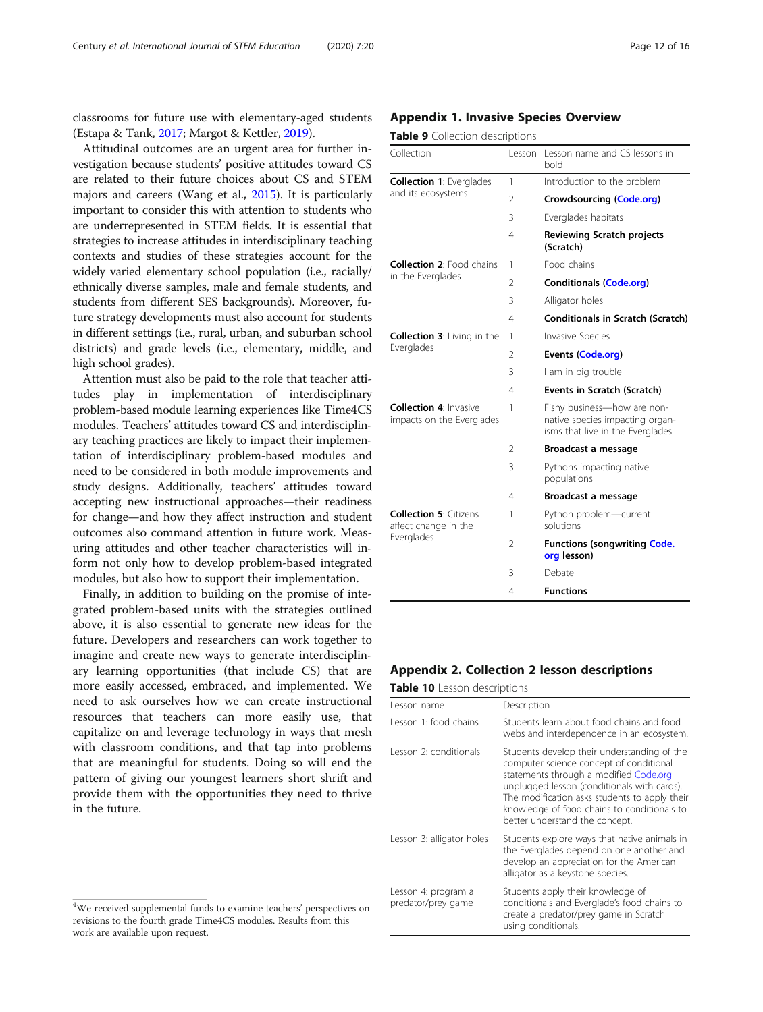classrooms for future use with elementary-aged students (Estapa & Tank, [2017;](#page-14-0) Margot & Kettler, [2019\)](#page-14-0).

Attitudinal outcomes are an urgent area for further investigation because students' positive attitudes toward CS are related to their future choices about CS and STEM majors and careers (Wang et al., [2015\)](#page-14-0). It is particularly important to consider this with attention to students who are underrepresented in STEM fields. It is essential that strategies to increase attitudes in interdisciplinary teaching contexts and studies of these strategies account for the widely varied elementary school population (i.e., racially/ ethnically diverse samples, male and female students, and students from different SES backgrounds). Moreover, future strategy developments must also account for students in different settings (i.e., rural, urban, and suburban school districts) and grade levels (i.e., elementary, middle, and high school grades).

Attention must also be paid to the role that teacher attitudes play in implementation of interdisciplinary problem-based module learning experiences like Time4CS modules. Teachers' attitudes toward CS and interdisciplinary teaching practices are likely to impact their implementation of interdisciplinary problem-based modules and need to be considered in both module improvements and study designs. Additionally, teachers' attitudes toward accepting new instructional approaches—their readiness for change—and how they affect instruction and student outcomes also command attention in future work. Measuring attitudes and other teacher characteristics will inform not only how to develop problem-based integrated modules, but also how to support their implementation.

Finally, in addition to building on the promise of integrated problem-based units with the strategies outlined above, it is also essential to generate new ideas for the future. Developers and researchers can work together to imagine and create new ways to generate interdisciplinary learning opportunities (that include CS) that are more easily accessed, embraced, and implemented. We need to ask ourselves how we can create instructional resources that teachers can more easily use, that capitalize on and leverage technology in ways that mesh with classroom conditions, and that tap into problems that are meaningful for students. Doing so will end the pattern of giving our youngest learners short shrift and provide them with the opportunities they need to thrive in the future.

#### Appendix 1. Invasive Species Overview

#### Table 9 Collection descriptions

| Collection                                                 | Lesson         | Lesson name and CS lessons in<br>bold                                                              |
|------------------------------------------------------------|----------------|----------------------------------------------------------------------------------------------------|
| <b>Collection 1: Everglades</b>                            | 1              | Introduction to the problem                                                                        |
| and its ecosystems                                         | 2              | Crowdsourcing (Code.org)                                                                           |
|                                                            | 3              | Everglades habitats                                                                                |
|                                                            | 4              | <b>Reviewing Scratch projects</b><br>(Scratch)                                                     |
| <b>Collection 2: Food chains</b>                           | 1              | Food chains                                                                                        |
| in the Everglades                                          | 2              | <b>Conditionals (Code.org)</b>                                                                     |
|                                                            | 3              | Alligator holes                                                                                    |
|                                                            | 4              | <b>Conditionals in Scratch (Scratch)</b>                                                           |
| <b>Collection 3: Living in the</b>                         | 1              | Invasive Species                                                                                   |
| Everglades                                                 | 2              | <b>Events (Code.org)</b>                                                                           |
|                                                            | 3              | I am in big trouble                                                                                |
|                                                            | 4              | Events in Scratch (Scratch)                                                                        |
| <b>Collection 4: Invasive</b><br>impacts on the Everglades | 1              | Fishy business-how are non-<br>native species impacting organ-<br>isms that live in the Everglades |
|                                                            | $\overline{2}$ | Broadcast a message                                                                                |
|                                                            | 3              | Pythons impacting native<br>populations                                                            |
|                                                            | 4              | Broadcast a message                                                                                |
| <b>Collection 5: Citizens</b><br>affect change in the      | 1              | Python problem-current<br>solutions                                                                |
| Everglades                                                 | $\overline{2}$ | <b>Functions (songwriting Code.</b><br>org lesson)                                                 |
|                                                            | 3              | Debate                                                                                             |
|                                                            | 4              | <b>Functions</b>                                                                                   |

## Appendix 2. Collection 2 lesson descriptions

Table 10 Lesson descriptions

| Lesson name                               | Description                                                                                                                                                                                                                                                                                                       |
|-------------------------------------------|-------------------------------------------------------------------------------------------------------------------------------------------------------------------------------------------------------------------------------------------------------------------------------------------------------------------|
| Lesson 1: food chains                     | Students learn about food chains and food<br>webs and interdependence in an ecosystem.                                                                                                                                                                                                                            |
| Lesson 2: conditionals                    | Students develop their understanding of the<br>computer science concept of conditional<br>statements through a modified Code.org<br>unplugged lesson (conditionals with cards).<br>The modification asks students to apply their<br>knowledge of food chains to conditionals to<br>better understand the concept. |
| Lesson 3: alligator holes                 | Students explore ways that native animals in<br>the Everglades depend on one another and<br>develop an appreciation for the American<br>alligator as a keystone species.                                                                                                                                          |
| Lesson 4: program a<br>predator/prey game | Students apply their knowledge of<br>conditionals and Everglade's food chains to<br>create a predator/prey game in Scratch<br>using conditionals.                                                                                                                                                                 |

 $4$ We received supplemental funds to examine teachers' perspectives on revisions to the fourth grade Time4CS modules. Results from this work are available upon request.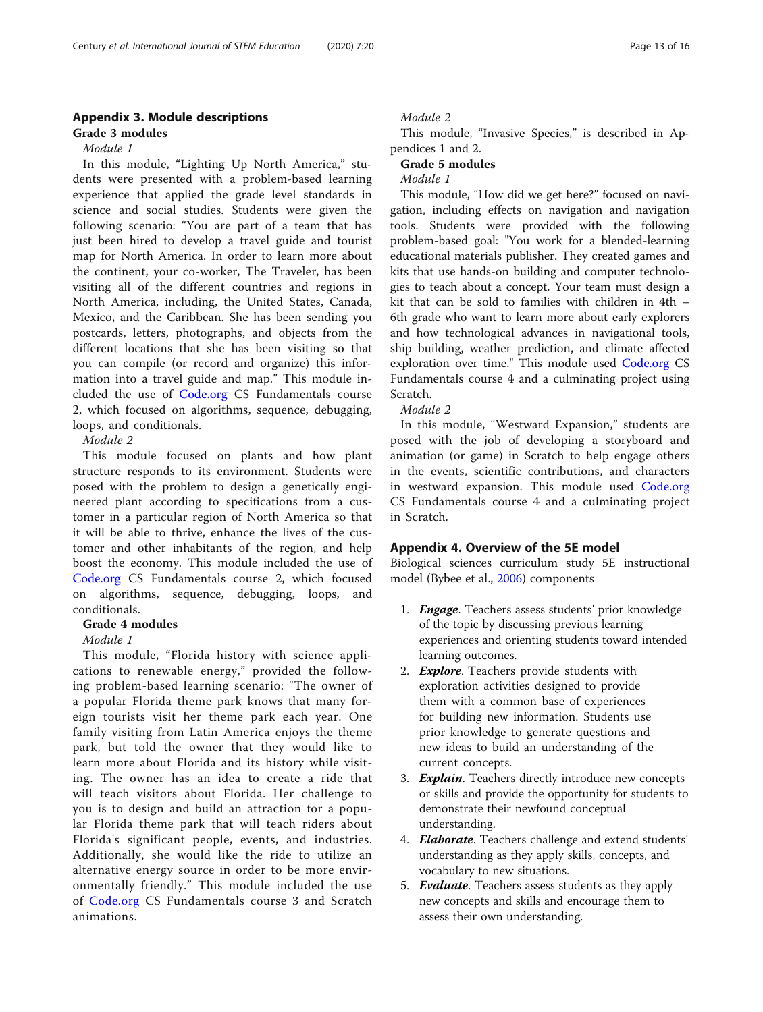## Appendix 3. Module descriptions Grade 3 modules

## Module 1

In this module, "Lighting Up North America," students were presented with a problem-based learning experience that applied the grade level standards in science and social studies. Students were given the following scenario: "You are part of a team that has just been hired to develop a travel guide and tourist map for North America. In order to learn more about the continent, your co-worker, The Traveler, has been visiting all of the different countries and regions in North America, including, the United States, Canada, Mexico, and the Caribbean. She has been sending you postcards, letters, photographs, and objects from the different locations that she has been visiting so that you can compile (or record and organize) this information into a travel guide and map." This module included the use of [Code.org](http://code.org) CS Fundamentals course 2, which focused on algorithms, sequence, debugging, loops, and conditionals.

## Module 2

This module focused on plants and how plant structure responds to its environment. Students were posed with the problem to design a genetically engineered plant according to specifications from a customer in a particular region of North America so that it will be able to thrive, enhance the lives of the customer and other inhabitants of the region, and help boost the economy. This module included the use of [Code.org](http://code.org) CS Fundamentals course 2, which focused on algorithms, sequence, debugging, loops, and conditionals.

#### Grade 4 modules

## Module 1

This module, "Florida history with science applications to renewable energy," provided the following problem-based learning scenario: "The owner of a popular Florida theme park knows that many foreign tourists visit her theme park each year. One family visiting from Latin America enjoys the theme park, but told the owner that they would like to learn more about Florida and its history while visiting. The owner has an idea to create a ride that will teach visitors about Florida. Her challenge to you is to design and build an attraction for a popular Florida theme park that will teach riders about Florida's significant people, events, and industries. Additionally, she would like the ride to utilize an alternative energy source in order to be more environmentally friendly." This module included the use of [Code.org](http://code.org) CS Fundamentals course 3 and Scratch animations.

## Module 2

This module, "Invasive Species," is described in Appendices 1 and 2.

#### Grade 5 modules

## Module 1

This module, "How did we get here?" focused on navigation, including effects on navigation and navigation tools. Students were provided with the following problem-based goal: "You work for a blended-learning educational materials publisher. They created games and kits that use hands-on building and computer technologies to teach about a concept. Your team must design a kit that can be sold to families with children in 4th – 6th grade who want to learn more about early explorers and how technological advances in navigational tools, ship building, weather prediction, and climate affected exploration over time." This module used [Code.org](http://code.org) CS Fundamentals course 4 and a culminating project using Scratch.

Module 2

In this module, "Westward Expansion," students are posed with the job of developing a storyboard and animation (or game) in Scratch to help engage others in the events, scientific contributions, and characters in westward expansion. This module used [Code.org](http://code.org) CS Fundamentals course 4 and a culminating project in Scratch.

## Appendix 4. Overview of the 5E model

Biological sciences curriculum study 5E instructional model (Bybee et al., [2006\)](#page-14-0) components

- 1. *Engage*. Teachers assess students' prior knowledge of the topic by discussing previous learning experiences and orienting students toward intended learning outcomes.
- 2. **Explore**. Teachers provide students with exploration activities designed to provide them with a common base of experiences for building new information. Students use prior knowledge to generate questions and new ideas to build an understanding of the current concepts.
- 3. **Explain**. Teachers directly introduce new concepts or skills and provide the opportunity for students to demonstrate their newfound conceptual understanding.
- 4. **Elaborate**. Teachers challenge and extend students' understanding as they apply skills, concepts, and vocabulary to new situations.
- 5. **Evaluate**. Teachers assess students as they apply new concepts and skills and encourage them to assess their own understanding.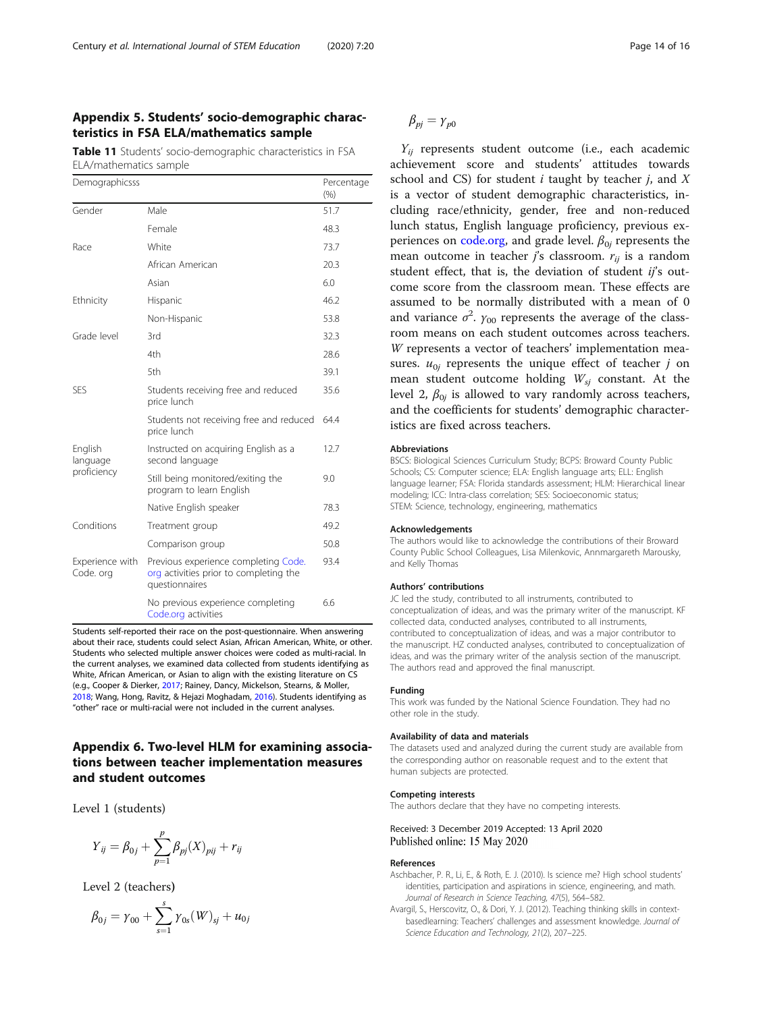## <span id="page-13-0"></span>Appendix 5. Students' socio-demographic characteristics in FSA ELA/mathematics sample

Table 11 Students' socio-demographic characteristics in FSA ELA/mathematics sample

| Demographicsss               |                                                                                                  | Percentage<br>(%) |
|------------------------------|--------------------------------------------------------------------------------------------------|-------------------|
| Gender                       | Male                                                                                             | 51.7              |
|                              | Female                                                                                           | 48.3              |
| Race                         | White                                                                                            | 73.7              |
|                              | African American                                                                                 | 20.3              |
|                              | Asian                                                                                            | 6.0               |
| Ethnicity                    | Hispanic                                                                                         | 46.2              |
|                              | Non-Hispanic                                                                                     | 53.8              |
| Grade level                  | 3rd                                                                                              | 32.3              |
|                              | 4th                                                                                              | 28.6              |
|                              | 5th                                                                                              | 39.1              |
| <b>SES</b>                   | Students receiving free and reduced<br>price lunch                                               | 35.6              |
|                              | Students not receiving free and reduced<br>price lunch                                           | 64.4              |
| English<br>language          | Instructed on acquiring English as a<br>second language                                          | 12.7              |
| proficiency                  | Still being monitored/exiting the<br>program to learn English                                    | 9.0               |
|                              | Native English speaker                                                                           | 78.3              |
| Conditions                   | Treatment group                                                                                  | 49.2              |
|                              | Comparison group                                                                                 | 50.8              |
| Experience with<br>Code. org | Previous experience completing Code.<br>org activities prior to completing the<br>questionnaires | 93.4              |
|                              | No previous experience completing<br>Code.org activities                                         | 6.6               |

Students self-reported their race on the post-questionnaire. When answering about their race, students could select Asian, African American, White, or other. Students who selected multiple answer choices were coded as multi-racial. In the current analyses, we examined data collected from students identifying as White, African American, or Asian to align with the existing literature on CS (e.g., Cooper & Dierker, [2017;](#page-14-0) Rainey, Dancy, Mickelson, Stearns, & Moller, [2018](#page-14-0); Wang, Hong, Ravitz, & Hejazi Moghadam, [2016\)](#page-14-0). Students identifying as "other" race or multi-racial were not included in the current analyses.

## Appendix 6. Two-level HLM for examining associations between teacher implementation measures and student outcomes

Level 1 (students)

$$
Y_{ij} = \beta_{0j} + \sum_{p=1}^{p} \beta_{pj} (X)_{pi} + r_{ij}
$$

Level 2 (teachers)

$$
\beta_{0j} = \gamma_{00} + \sum_{s=1}^{s} \gamma_{0s}(W)_{sj} + u_{0j}
$$

 $\beta_{pi} = \gamma_{p0}$ 

 $Y_{ii}$  represents student outcome (i.e., each academic achievement score and students' attitudes towards school and CS) for student  $i$  taught by teacher  $j$ , and  $X$ is a vector of student demographic characteristics, including race/ethnicity, gender, free and non-reduced lunch status, English language proficiency, previous experiences on [code.org](http://code.org), and grade level.  $\beta_{0i}$  represents the mean outcome in teacher j's classroom.  $r_{ii}$  is a random student effect, that is, the deviation of student ij's outcome score from the classroom mean. These effects are assumed to be normally distributed with a mean of 0 and variance  $\sigma^2$ .  $\gamma_{00}$  represents the average of the classroom means on each student outcomes across teachers. W represents a vector of teachers' implementation measures.  $u_{0i}$  represents the unique effect of teacher j on mean student outcome holding  $W_{si}$  constant. At the level 2,  $\beta_{0i}$  is allowed to vary randomly across teachers, and the coefficients for students' demographic characteristics are fixed across teachers.

#### Abbreviations

BSCS: Biological Sciences Curriculum Study; BCPS: Broward County Public Schools; CS: Computer science; ELA: English language arts; ELL: English language learner; FSA: Florida standards assessment; HLM: Hierarchical linear modeling; ICC: Intra-class correlation; SES: Socioeconomic status; STEM: Science, technology, engineering, mathematics

#### Acknowledgements

The authors would like to acknowledge the contributions of their Broward County Public School Colleagues, Lisa Milenkovic, Annmargareth Marousky, and Kelly Thomas

#### Authors' contributions

JC led the study, contributed to all instruments, contributed to conceptualization of ideas, and was the primary writer of the manuscript. KF collected data, conducted analyses, contributed to all instruments, contributed to conceptualization of ideas, and was a major contributor to the manuscript. HZ conducted analyses, contributed to conceptualization of ideas, and was the primary writer of the analysis section of the manuscript. The authors read and approved the final manuscript.

#### Funding

This work was funded by the National Science Foundation. They had no other role in the study.

#### Availability of data and materials

The datasets used and analyzed during the current study are available from the corresponding author on reasonable request and to the extent that human subjects are protected.

#### Competing interests

The authors declare that they have no competing interests.

#### Received: 3 December 2019 Accepted: 13 April 2020 Published online: 15 May 2020

#### References

- Aschbacher, P. R., Li, E., & Roth, E. J. (2010). Is science me? High school students' identities, participation and aspirations in science, engineering, and math. Journal of Research in Science Teaching, 47(5), 564–582.
- Avargil, S., Herscovitz, O., & Dori, Y. J. (2012). Teaching thinking skills in contextbasedlearning: Teachers' challenges and assessment knowledge. Journal of Science Education and Technology, 21(2), 207–225.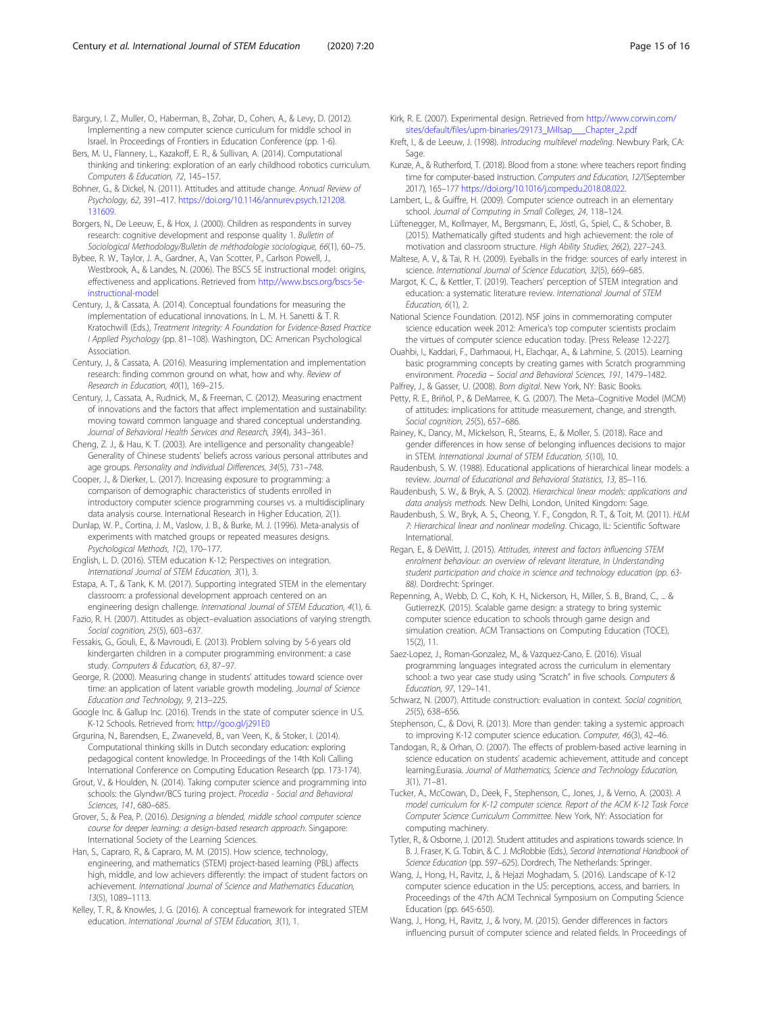<span id="page-14-0"></span>Bargury, I. Z., Muller, O., Haberman, B., Zohar, D., Cohen, A., & Levy, D. (2012). Implementing a new computer science curriculum for middle school in Israel. In Proceedings of Frontiers in Education Conference (pp. 1-6).

Bers, M. U., Flannery, L., Kazakoff, E. R., & Sullivan, A. (2014). Computational thinking and tinkering: exploration of an early childhood robotics curriculum. Computers & Education, 72, 145–157.

Bohner, G., & Dickel, N. (2011). Attitudes and attitude change. Annual Review of Psychology, 62, 391–417. [https://doi.org/10.1146/annurev.psych.121208.](https://doi.org/10.1146/annurev.psych.121208.131609) [131609](https://doi.org/10.1146/annurev.psych.121208.131609).

- Borgers, N., De Leeuw, E., & Hox, J. (2000). Children as respondents in survey research: cognitive development and response quality 1. Bulletin of Sociological Methodology/Bulletin de méthodologie sociologique, 66(1), 60–75.
- Bybee, R. W., Taylor, J. A., Gardner, A., Van Scotter, P., Carlson Powell, J., Westbrook, A., & Landes, N. (2006). The BSCS 5E instructional model: origins, effectiveness and applications. Retrieved from [http://www.bscs.org/bscs-5e](http://www.bscs.org/bscs-5e-instructional-model)[instructional-model](http://www.bscs.org/bscs-5e-instructional-model)
- Century, J., & Cassata, A. (2014). Conceptual foundations for measuring the implementation of educational innovations. In L. M. H. Sanetti & T. R. Kratochwill (Eds.), Treatment Integrity: A Foundation for Evidence-Based Practice I Applied Psychology (pp. 81–108). Washington, DC: American Psychological Association.
- Century, J., & Cassata, A. (2016). Measuring implementation and implementation research: finding common ground on what, how and why. Review of Research in Education, 40(1), 169–215.
- Century, J., Cassata, A., Rudnick, M., & Freeman, C. (2012). Measuring enactment of innovations and the factors that affect implementation and sustainability: moving toward common language and shared conceptual understanding. Journal of Behavioral Health Services and Research, 39(4), 343–361.
- Cheng, Z. J., & Hau, K. T. (2003). Are intelligence and personality changeable? Generality of Chinese students' beliefs across various personal attributes and age groups. Personality and Individual Differences, 34(5), 731–748.
- Cooper, J., & Dierker, L. (2017). Increasing exposure to programming: a comparison of demographic characteristics of students enrolled in introductory computer science programming courses vs. a multidisciplinary data analysis course. International Research in Higher Education, 2(1).
- Dunlap, W. P., Cortina, J. M., Vaslow, J. B., & Burke, M. J. (1996). Meta-analysis of experiments with matched groups or repeated measures designs. Psychological Methods, 1(2), 170–177.
- English, L. D. (2016). STEM education K-12: Perspectives on integration. International Journal of STEM Education, 3(1), 3.
- Estapa, A. T., & Tank, K. M. (2017). Supporting integrated STEM in the elementary classroom: a professional development approach centered on an engineering design challenge. International Journal of STEM Education, 4(1), 6.
- Fazio, R. H. (2007). Attitudes as object–evaluation associations of varying strength. Social cognition, 25(5), 603–637.
- Fessakis, G., Gouli, E., & Mavroudi, E. (2013). Problem solving by 5-6 years old kindergarten children in a computer programming environment: a case study. Computers & Education, 63, 87–97.
- George, R. (2000). Measuring change in students' attitudes toward science over time: an application of latent variable growth modeling. Journal of Science Education and Technology, 9, 213–225.
- Google Inc. & Gallup Inc. (2016). Trends in the state of computer science in U.S. K-12 Schools. Retrieved from: <http://goo.gl/j291E0>
- Grgurina, N., Barendsen, E., Zwaneveld, B., van Veen, K., & Stoker, I. (2014). Computational thinking skills in Dutch secondary education: exploring pedagogical content knowledge. In Proceedings of the 14th Koli Calling International Conference on Computing Education Research (pp. 173-174).
- Grout, V., & Houlden, N. (2014). Taking computer science and programming into schools: the Glyndwr/BCS turing project. Procedia - Social and Behavioral Sciences, 141, 680–685.
- Grover, S., & Pea, P. (2016). Designing a blended, middle school computer science course for deeper learning: a design-based research approach. Singapore: International Society of the Learning Sciences.
- Han, S., Capraro, R., & Capraro, M. M. (2015). How science, technology, engineering, and mathematics (STEM) project-based learning (PBL) affects high, middle, and low achievers differently: the impact of student factors on achievement. International Journal of Science and Mathematics Education, 13(5), 1089–1113.
- Kelley, T. R., & Knowles, J. G. (2016). A conceptual framework for integrated STEM education. International Journal of STEM Education, 3(1), 1.
- Kirk, R. E. (2007). Experimental design. Retrieved from [http://www.corwin.com/](http://www.corwin.com/sites/default/files/upm-binaries/29173_Millsap___Chapter_2.pdf) [sites/default/files/upm-binaries/29173\\_Millsap\\_\\_\\_Chapter\\_2.pdf](http://www.corwin.com/sites/default/files/upm-binaries/29173_Millsap___Chapter_2.pdf)
- Kreft, I., & de Leeuw, J. (1998). Introducing multilevel modeling. Newbury Park, CA: Sage.
- Kunze, A., & Rutherford, T. (2018). Blood from a stone: where teachers report finding time for computer-based instruction. Computers and Education, 127(September 2017), 165–177 [https://doi.org/10.1016/j.compedu.2018.08.022.](https://doi.org/10.1016/j.compedu.2018.08.022)
- Lambert, L., & Guiffre, H. (2009). Computer science outreach in an elementary school. Journal of Computing in Small Colleges, 24, 118–124.
- Lüftenegger, M., Kollmayer, M., Bergsmann, E., Jöstl, G., Spiel, C., & Schober, B. (2015). Mathematically gifted students and high achievement: the role of motivation and classroom structure. High Ability Studies, 26(2), 227–243.
- Maltese, A. V., & Tai, R. H. (2009). Eyeballs in the fridge: sources of early interest in science. International Journal of Science Education, 32(5), 669–685.
- Margot, K. C., & Kettler, T. (2019). Teachers' perception of STEM integration and education: a systematic literature review. International Journal of STEM Education, 6(1), 2.
- National Science Foundation. (2012). NSF joins in commemorating computer science education week 2012: America's top computer scientists proclaim the virtues of computer science education today. [Press Release 12-227].
- Ouahbi, I., Kaddari, F., Darhmaoui, H., Elachqar, A., & Lahmine, S. (2015). Learning basic programming concepts by creating games with Scratch programming environment. Procedia – Social and Behavioral Sciences, 191, 1479–1482.
- Palfrey, J., & Gasser, U. (2008). Born digital. New York, NY: Basic Books.
- Petty, R. E., Briñol, P., & DeMarree, K. G. (2007). The Meta–Cognitive Model (MCM) of attitudes: implications for attitude measurement, change, and strength. Social cognition, 25(5), 657–686.
- Rainey, K., Dancy, M., Mickelson, R., Stearns, E., & Moller, S. (2018). Race and gender differences in how sense of belonging influences decisions to major in STEM. International Journal of STEM Education, 5(10), 10.
- Raudenbush, S. W. (1988). Educational applications of hierarchical linear models: a review. Journal of Educational and Behavioral Statistics, 13, 85–116.
- Raudenbush, S. W., & Bryk, A. S. (2002). Hierarchical linear models: applications and data analysis methods. New Delhi, London, United Kingdom: Sage.
- Raudenbush, S. W., Bryk, A. S., Cheong, Y. F., Congdon, R. T., & Toit, M. (2011). HLM 7: Hierarchical linear and nonlinear modeling. Chicago, IL: Scientific Software International.
- Regan, E., & DeWitt, J. (2015). Attitudes, interest and factors influencing STEM enrolment behaviour: an overview of relevant literature, In Understanding student participation and choice in science and technology education (pp. 63- 88). Dordrecht: Springer.
- Repenning, A., Webb, D. C., Koh, K. H., Nickerson, H., Miller, S. B., Brand, C., ... & Gutierrez,K. (2015). Scalable game design: a strategy to bring systemic computer science education to schools through game design and simulation creation. ACM Transactions on Computing Education (TOCE), 15(2), 11.
- Saez-Lopez, J., Roman-Gonzalez, M., & Vazquez-Cano, E. (2016). Visual programming languages integrated across the curriculum in elementary school: a two year case study using "Scratch" in five schools. Computers & Education, 97, 129–141.
- Schwarz, N. (2007). Attitude construction: evaluation in context. Social cognition, 25(5), 638–656.
- Stephenson, C., & Dovi, R. (2013). More than gender: taking a systemic approach to improving K-12 computer science education. Computer, 46(3), 42–46.
- Tandogan, R., & Orhan, O. (2007). The effects of problem-based active learning in science education on students' academic achievement, attitude and concept learning.Eurasia. Journal of Mathematics, Science and Technology Education, 3(1), 71–81.
- Tucker, A., McCowan, D., Deek, F., Stephenson, C., Jones, J., & Verno, A. (2003). A model curriculum for K-12 computer science. Report of the ACM K-12 Task Force Computer Science Curriculum Committee. New York, NY: Association for computing machinery.
- Tytler, R., & Osborne, J. (2012). Student attitudes and aspirations towards science. In B. J. Fraser, K. G. Tobin, & C. J. McRobbie (Eds.), Second International Handbook of Science Education (pp. 597–625). Dordrech, The Netherlands: Springer.
- Wang, J., Hong, H., Ravitz, J., & Hejazi Moghadam, S. (2016). Landscape of K-12 computer science education in the US: perceptions, access, and barriers. In Proceedings of the 47th ACM Technical Symposium on Computing Science Education (pp. 645-650).
- Wang, J., Hong, H., Ravitz, J., & Ivory, M. (2015). Gender differences in factors influencing pursuit of computer science and related fields. In Proceedings of